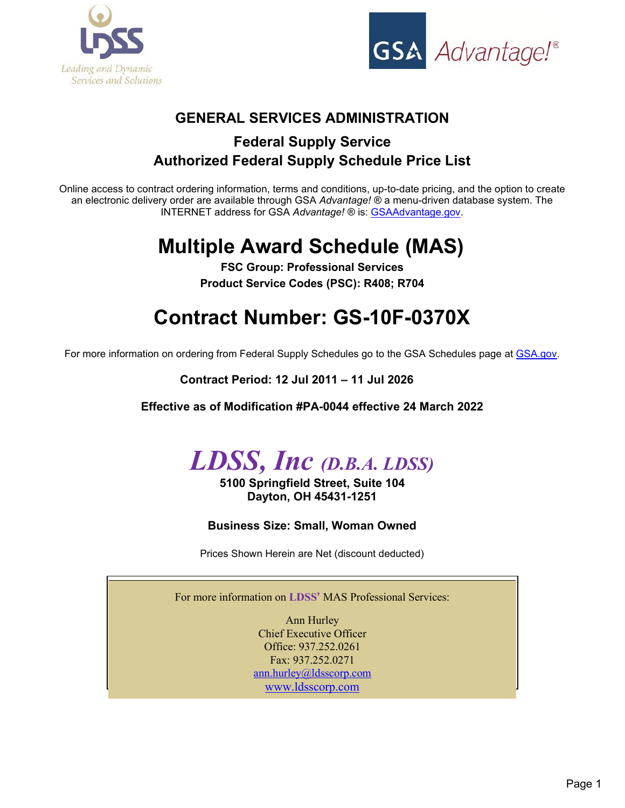



# **GENERAL SERVICES ADMINISTRATION**

# **Federal Supply Service Authorized Federal Supply Schedule Price List**

Online access to contract ordering information, terms and conditions, up-to-date pricing, and the option to create an electronic delivery order are available through GSA *Advantage!* ® a menu-driven database system. The INTERNET address for GSA *Advantage!* ® is: [GSAAdvantage.gov.](http://www.gsaelibrary.gsa.gov/ElibMain/contractorInfo.do?contractNumber=GS-10F-0370X&contractorName=LDSS%2BINC&executeQuery=YES)

# **Multiple Award Schedule (MAS)**

**FSC Group: Professional Services Product Service Codes (PSC): R408; R704**

# **Contract Number: GS-10F-0370X**

For more information on ordering from Federal Supply Schedules go to the GSA Schedules page at GSA.gov.

**Contract Period: 12 Jul 2011 – 11 Jul 2026**

**Effective as of Modification #PA-0044 effective 24 March 2022**



**5100 Springfield Street, Suite 104 Dayton, OH 45431-1251** 

**Business Size: Small, Woman Owned**

Prices Shown Herein are Net (discount deducted)

For more information on **LDSS'** MAS Professional Services:

Ann Hurley Chief Executive Officer Office: 937.252.0261 Fax: 937.252.0271 [ann.hurley@ldsscorp.com](mailto:ann.hurley@ldsscorp.com) [www.ldsscorp.com](http://www.ldsscorp.com/)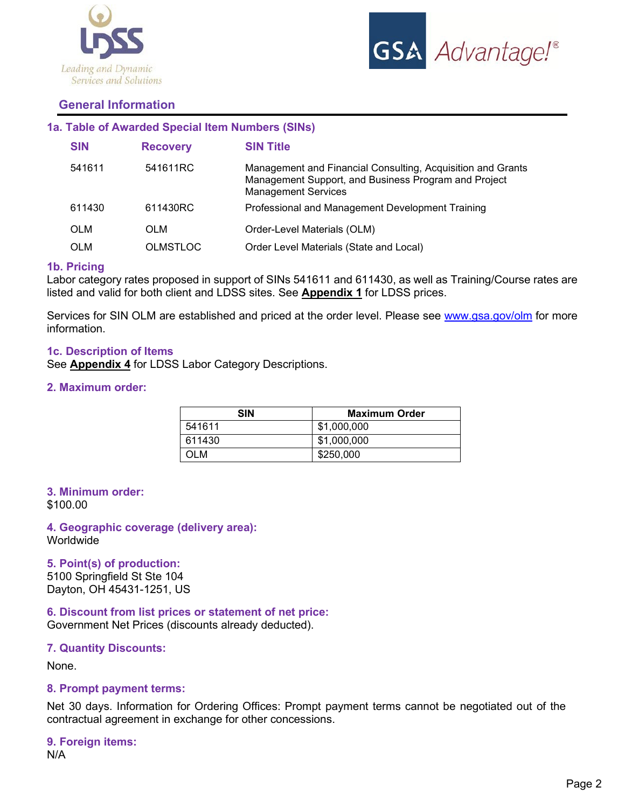



# **General Information**

# **1a. Table of Awarded Special Item Numbers (SINs)**

| <b>SIN</b> | <b>Recovery</b> | <b>SIN Title</b>                                                                                                                                  |
|------------|-----------------|---------------------------------------------------------------------------------------------------------------------------------------------------|
| 541611     | 541611RC        | Management and Financial Consulting, Acquisition and Grants<br>Management Support, and Business Program and Project<br><b>Management Services</b> |
| 611430     | 611430RC        | Professional and Management Development Training                                                                                                  |
| <b>OLM</b> | OLM             | Order-Level Materials (OLM)                                                                                                                       |
| <b>OLM</b> | <b>OLMSTLOC</b> | Order Level Materials (State and Local)                                                                                                           |

# **1b. Pricing**

Labor category rates proposed in support of SINs 541611 and 611430, as well as Training/Course rates are listed and valid for both client and LDSS sites. See **Appendix 1** for LDSS prices.

Services for SIN OLM are established and priced at the order level. Please see [www.gsa.gov/olm](http://www.gsa.gov/olm) for more information.

#### **1c. Description of Items**

See **Appendix 4** for LDSS Labor Category Descriptions.

#### **2. Maximum order:**

| <b>SIN</b> | <b>Maximum Order</b> |
|------------|----------------------|
| 541611     | \$1,000,000          |
| 611430     | \$1,000,000          |
| OLM        | \$250,000            |

#### **3. Minimum order:**

\$100.00

# **4. Geographic coverage (delivery area): Worldwide**

**5. Point(s) of production:** 

5100 Springfield St Ste 104 Dayton, OH 45431-1251, US

**6. Discount from list prices or statement of net price:** 

Government Net Prices (discounts already deducted).

# **7. Quantity Discounts:**

None.

#### **8. Prompt payment terms:**

Net 30 days. Information for Ordering Offices: Prompt payment terms cannot be negotiated out of the contractual agreement in exchange for other concessions.

```
9. Foreign items: 
N/A
```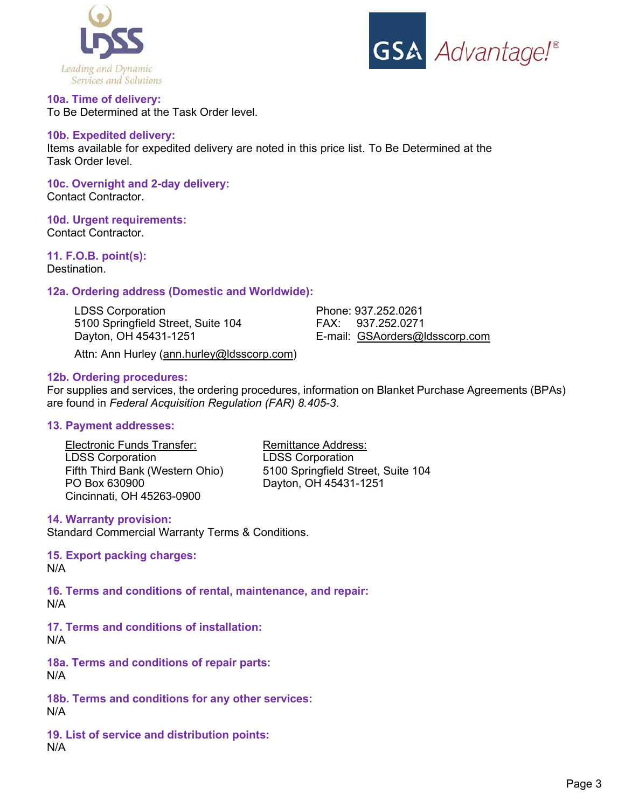



**10a. Time of delivery:**  To Be Determined at the Task Order level.

# **10b. Expedited delivery:**

Items available for expedited delivery are noted in this price list. To Be Determined at the Task Order level.

**10c. Overnight and 2-day delivery:**  Contact Contractor.

#### **10d. Urgent requirements:**

Contact Contractor.

# **11. F.O.B. point(s):**

Destination.

# **12a. Ordering address (Domestic and Worldwide):**

| E-mail: GSAorders@ldsscorp.com |
|--------------------------------|
|                                |

Attn: Ann Hurley (ann.hurley@ldsscorp.com)

#### **12b. Ordering procedures:**

For supplies and services, the ordering procedures, information on Blanket Purchase Agreements (BPAs) are found in *Federal Acquisition Regulation (FAR) 8.405-3*.

## **13. Payment addresses:**

Electronic Funds Transfer: Remittance Address:<br>
LDSS Corporation LDSS Corporation LDSS Corporation<br>Fifth Third Bank (Western Ohio) PO Box 630900 Dayton, OH 45431-1251 Cincinnati, OH 45263-0900

5100 Springfield Street, Suite 104

#### **14. Warranty provision:**

Standard Commercial Warranty Terms & Conditions.

**15. Export packing charges:**  N/A

**16. Terms and conditions of rental, maintenance, and repair:**  N/A

**17. Terms and conditions of installation:**  N/A

**18a. Terms and conditions of repair parts:** N/A

**18b. Terms and conditions for any other services:**  N/A

**19. List of service and distribution points:**  N/A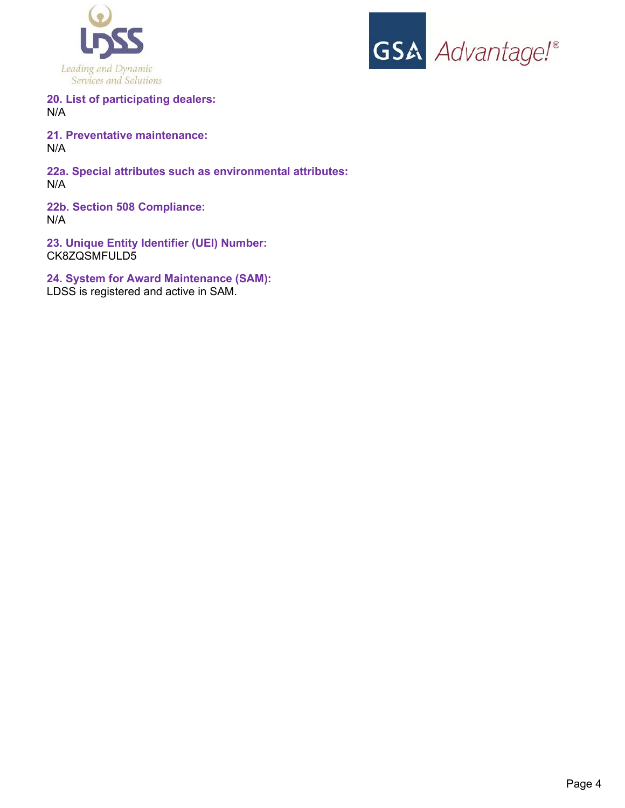



**20. List of participating dealers:**  N/A

**21. Preventative maintenance:**  N/A

**22a. Special attributes such as environmental attributes:**  N/A

**22b. Section 508 Compliance:**  N/A

**23. Unique Entity Identifier (UEI) Number:** CK8ZQSMFULD5

**24. System for Award Maintenance (SAM):** 

LDSS is registered and active in SAM.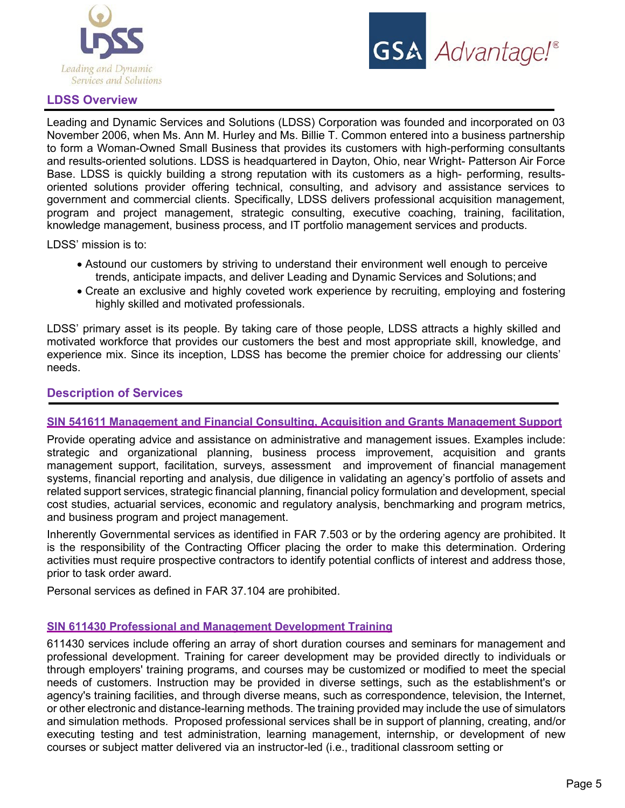



# **LDSS Overview**

Leading and Dynamic Services and Solutions (LDSS) Corporation was founded and incorporated on 03 November 2006, when Ms. Ann M. Hurley and Ms. Billie T. Common entered into a business partnership to form a Woman-Owned Small Business that provides its customers with high-performing consultants and results-oriented solutions. LDSS is headquartered in Dayton, Ohio, near Wright- Patterson Air Force Base. LDSS is quickly building a strong reputation with its customers as a high- performing, resultsoriented solutions provider offering technical, consulting, and advisory and assistance services to government and commercial clients. Specifically, LDSS delivers professional acquisition management, program and project management, strategic consulting, executive coaching, training, facilitation, knowledge management, business process, and IT portfolio management services and products.

LDSS' mission is to:

- Astound our customers by striving to understand their environment well enough to perceive trends, anticipate impacts, and deliver Leading and Dynamic Services and Solutions; and
- Create an exclusive and highly coveted work experience by recruiting, employing and fostering highly skilled and motivated professionals.

LDSS' primary asset is its people. By taking care of those people, LDSS attracts a highly skilled and motivated workforce that provides our customers the best and most appropriate skill, knowledge, and experience mix. Since its inception, LDSS has become the premier choice for addressing our clients' needs.

# **Description of Services**

#### **SIN 541611 Management and Financial Consulting, Acquisition and Grants Management Support**

Provide operating advice and assistance on administrative and management issues. Examples include: strategic and organizational planning, business process improvement, acquisition and grants management support, facilitation, surveys, assessment and improvement of financial management systems, financial reporting and analysis, due diligence in validating an agency's portfolio of assets and related support services, strategic financial planning, financial policy formulation and development, special cost studies, actuarial services, economic and regulatory analysis, benchmarking and program metrics, and business program and project management.

Inherently Governmental services as identified in FAR 7.503 or by the ordering agency are prohibited. It is the responsibility of the Contracting Officer placing the order to make this determination. Ordering activities must require prospective contractors to identify potential conflicts of interest and address those, prior to task order award.

Personal services as defined in FAR 37.104 are prohibited.

# **SIN 611430 Professional and Management Development Training**

611430 services include offering an array of short duration courses and seminars for management and professional development. Training for career development may be provided directly to individuals or through employers' training programs, and courses may be customized or modified to meet the special needs of customers. Instruction may be provided in diverse settings, such as the establishment's or agency's training facilities, and through diverse means, such as correspondence, television, the Internet, or other electronic and distance-learning methods. The training provided may include the use of simulators and simulation methods. Proposed professional services shall be in support of planning, creating, and/or executing testing and test administration, learning management, internship, or development of new courses or subject matter delivered via an instructor-led (i.e., traditional classroom setting or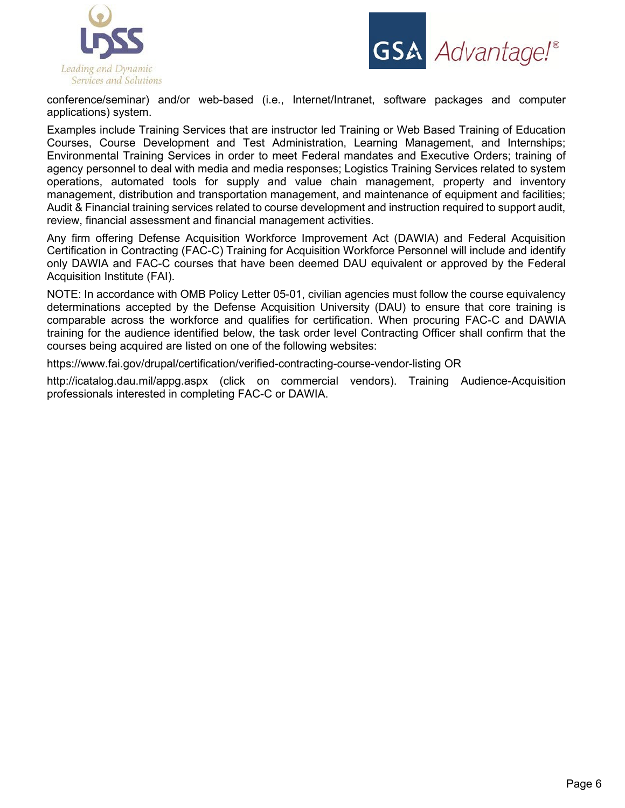



conference/seminar) and/or web-based (i.e., Internet/Intranet, software packages and computer applications) system.

Examples include Training Services that are instructor led Training or Web Based Training of Education Courses, Course Development and Test Administration, Learning Management, and Internships; Environmental Training Services in order to meet Federal mandates and Executive Orders; training of agency personnel to deal with media and media responses; Logistics Training Services related to system operations, automated tools for supply and value chain management, property and inventory management, distribution and transportation management, and maintenance of equipment and facilities; Audit & Financial training services related to course development and instruction required to support audit, review, financial assessment and financial management activities.

Any firm offering Defense Acquisition Workforce Improvement Act (DAWIA) and Federal Acquisition Certification in Contracting (FAC-C) Training for Acquisition Workforce Personnel will include and identify only DAWIA and FAC-C courses that have been deemed DAU equivalent or approved by the Federal Acquisition Institute (FAI).

NOTE: In accordance with OMB Policy Letter 05-01, civilian agencies must follow the course equivalency determinations accepted by the Defense Acquisition University (DAU) to ensure that core training is comparable across the workforce and qualifies for certification. When procuring FAC-C and DAWIA training for the audience identified below, the task order level Contracting Officer shall confirm that the courses being acquired are listed on one of the following websites:

https://www.fai.gov/drupal/certification/verified-contracting-course-vendor-listing OR

http://icatalog.dau.mil/appg.aspx (click on commercial vendors). Training Audience-Acquisition professionals interested in completing FAC-C or DAWIA.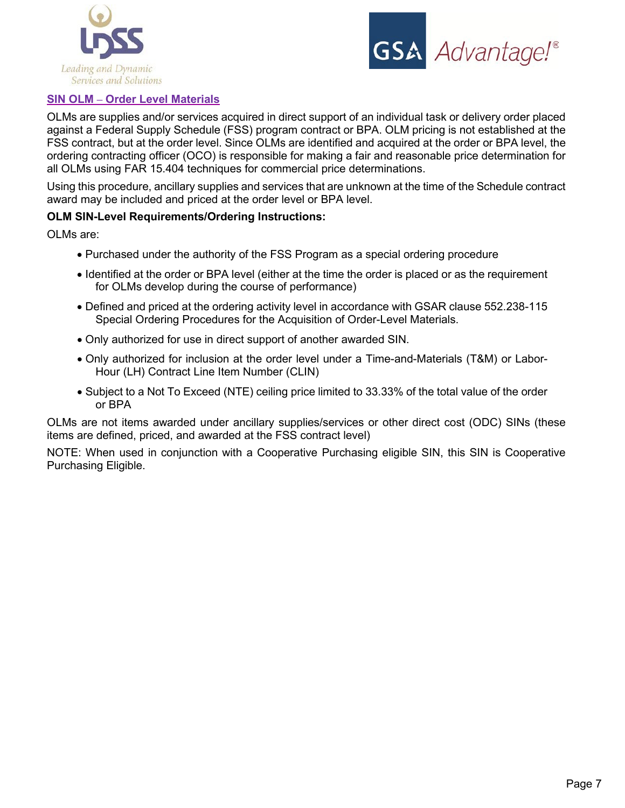



# **SIN OLM – Order Level Materials**

OLMs are supplies and/or services acquired in direct support of an individual task or delivery order placed against a Federal Supply Schedule (FSS) program contract or BPA. OLM pricing is not established at the FSS contract, but at the order level. Since OLMs are identified and acquired at the order or BPA level, the ordering contracting officer (OCO) is responsible for making a fair and reasonable price determination for all OLMs using FAR 15.404 techniques for commercial price determinations.

Using this procedure, ancillary supplies and services that are unknown at the time of the Schedule contract award may be included and priced at the order level or BPA level.

# **OLM SIN-Level Requirements/Ordering Instructions:**

OLMs are:

- Purchased under the authority of the FSS Program as a special ordering procedure
- Identified at the order or BPA level (either at the time the order is placed or as the requirement for OLMs develop during the course of performance)
- Defined and priced at the ordering activity level in accordance with GSAR clause 552.238-115 Special Ordering Procedures for the Acquisition of Order-Level Materials.
- Only authorized for use in direct support of another awarded SIN.
- Only authorized for inclusion at the order level under a Time-and-Materials (T&M) or Labor-Hour (LH) Contract Line Item Number (CLIN)
- Subject to a Not To Exceed (NTE) ceiling price limited to 33.33% of the total value of the order or BPA

OLMs are not items awarded under ancillary supplies/services or other direct cost (ODC) SINs (these items are defined, priced, and awarded at the FSS contract level)

NOTE: When used in conjunction with a Cooperative Purchasing eligible SIN, this SIN is Cooperative Purchasing Eligible.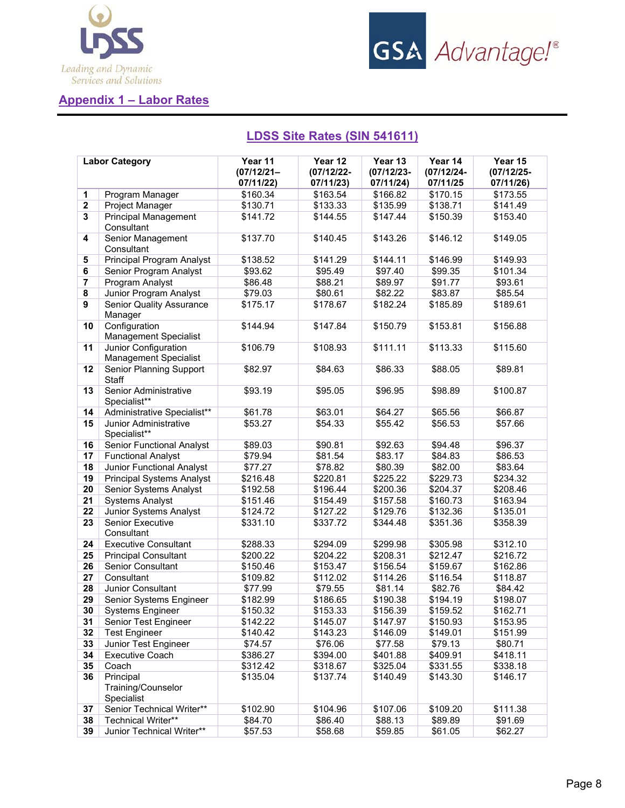



# **Appendix 1 – Labor Rates**

|                         | <b>Labor Category</b>                                | Year 11<br>$(07/12/21 -$<br>07/11/22) | Year 12<br>$(07/12/22 -$<br>07/11/23) | Year 13<br>$(07/12/23 -$<br>07/11/24) | Year 14<br>$(07/12/24 -$<br>07/11/25 | Year 15<br>$(07/12/25 -$<br>07/11/26) |
|-------------------------|------------------------------------------------------|---------------------------------------|---------------------------------------|---------------------------------------|--------------------------------------|---------------------------------------|
| $\mathbf{1}$            | Program Manager                                      | \$160.34                              | \$163.54                              | \$166.82                              | \$170.15                             | \$173.55                              |
| $\boldsymbol{2}$        | Project Manager                                      | \$130.71                              | \$133.33                              | \$135.99                              | \$138.71                             | \$141.49                              |
| 3                       | <b>Principal Management</b><br>Consultant            | \$141.72                              | \$144.55                              | \$147.44                              | \$150.39                             | \$153.40                              |
| 4                       | Senior Management<br>Consultant                      | \$137.70                              | \$140.45                              | \$143.26                              | \$146.12                             | \$149.05                              |
| 5                       | <b>Principal Program Analyst</b>                     | \$138.52                              | \$141.29                              | \$144.11                              | \$146.99                             | \$149.93                              |
| 6                       | Senior Program Analyst                               | \$93.62                               | \$95.49                               | \$97.40                               | \$99.35                              | \$101.34                              |
| $\overline{\mathbf{r}}$ | Program Analyst                                      | \$86.48                               | \$88.21                               | \$89.97                               | \$91.77                              | \$93.61                               |
| $\overline{\mathbf{8}}$ | Junior Program Analyst                               | \$79.03                               | \$80.61                               | \$82.22                               | \$83.87                              | \$85.54                               |
| 9                       | <b>Senior Quality Assurance</b><br>Manager           | \$175.17                              | \$178.67                              | \$182.24                              | \$185.89                             | \$189.61                              |
| 10                      | Configuration<br><b>Management Specialist</b>        | \$144.94                              | \$147.84                              | \$150.79                              | \$153.81                             | \$156.88                              |
| 11                      | Junior Configuration<br><b>Management Specialist</b> | \$106.79                              | \$108.93                              | \$111.11                              | \$113.33                             | \$115.60                              |
| 12                      | Senior Planning Support<br><b>Staff</b>              | \$82.97                               | \$84.63                               | \$86.33                               | \$88.05                              | \$89.81                               |
| 13                      | Senior Administrative<br>Specialist**                | \$93.19                               | \$95.05                               | \$96.95                               | \$98.89                              | \$100.87                              |
| 14                      | Administrative Specialist**                          | \$61.78                               | \$63.01                               | \$64.27                               | \$65.56                              | \$66.87                               |
| 15                      | Junior Administrative<br>Specialist**                | \$53.27                               | \$54.33                               | \$55.42                               | \$56.53                              | \$57.66                               |
| 16                      | <b>Senior Functional Analyst</b>                     | \$89.03                               | \$90.81                               | \$92.63                               | \$94.48                              | \$96.37                               |
| 17                      | <b>Functional Analyst</b>                            | \$79.94                               | \$81.54                               | \$83.17                               | \$84.83                              | \$86.53                               |
| 18                      | Junior Functional Analyst                            | \$77.27                               | \$78.82                               | \$80.39                               | \$82.00                              | \$83.64                               |
| 19                      | <b>Principal Systems Analyst</b>                     | \$216.48                              | \$220.81                              | \$225.22                              | \$229.73                             | \$234.32                              |
| 20                      | Senior Systems Analyst                               | \$192.58                              | \$196.44                              | \$200.36                              | \$204.37                             | \$208.46                              |
| 21                      | <b>Systems Analyst</b>                               | \$151.46                              | \$154.49                              | \$157.58                              | \$160.73                             | \$163.94                              |
| 22                      | <b>Junior Systems Analyst</b>                        | \$124.72                              | \$127.22                              | \$129.76                              | \$132.36                             | \$135.01                              |
| 23                      | <b>Senior Executive</b><br>Consultant                | \$331.10                              | \$337.72                              | \$344.48                              | \$351.36                             | \$358.39                              |
| 24                      | <b>Executive Consultant</b>                          | \$288.33                              | \$294.09                              | \$299.98                              | \$305.98                             | \$312.10                              |
| 25                      | <b>Principal Consultant</b>                          | \$200.22                              | \$204.22                              | \$208.31                              | \$212.47                             | \$216.72                              |
| 26                      | <b>Senior Consultant</b>                             | \$150.46                              | \$153.47                              | \$156.54                              | \$159.67                             | \$162.86                              |
| 27                      | Consultant                                           | \$109.82                              | \$112.02                              | \$114.26                              | \$116.54                             | \$118.87                              |
| 28                      | Junior Consultant                                    | \$77.99                               | \$79.55                               | \$81.14                               | \$82.76                              | \$84.42                               |
| 29                      | Senior Systems Engineer                              | \$182.99                              | \$186.65                              | \$190.38                              | \$194.19                             | \$198.07                              |
| 30                      | <b>Systems Engineer</b>                              | \$150.32                              | \$153.33                              | \$156.39                              | \$159.52                             | \$162.71                              |
| 31                      | Senior Test Engineer                                 | \$142.22                              | \$145.07                              | \$147.97                              | \$150.93                             | \$153.95                              |
| 32                      | <b>Test Engineer</b>                                 | \$140.42                              | \$143.23                              | \$146.09                              | \$149.01                             | \$151.99                              |
| 33                      | Junior Test Engineer                                 | \$74.57                               | \$76.06                               | \$77.58                               | \$79.13                              | \$80.71                               |
| 34                      | <b>Executive Coach</b>                               | \$386.27                              | \$394.00                              | \$401.88                              | \$409.91                             | \$418.11                              |
| 35                      | Coach                                                | \$312.42                              | \$318.67                              | \$325.04                              | \$331.55                             | \$338.18                              |
| 36                      | Principal<br>Training/Counselor<br>Specialist        | \$135.04                              | \$137.74                              | \$140.49                              | \$143.30                             | \$146.17                              |
| 37                      | Senior Technical Writer**                            | \$102.90                              | \$104.96                              | \$107.06                              | \$109.20                             | \$111.38                              |
| 38                      | <b>Technical Writer**</b>                            | \$84.70                               | \$86.40                               | \$88.13                               | \$89.89                              | \$91.69                               |

**39** | Junior Technical Writer\*\* | \$57.53 | \$58.68 | \$59.85 | \$61.05 | \$62.27

# **LDSS Site Rates (SIN 541611)**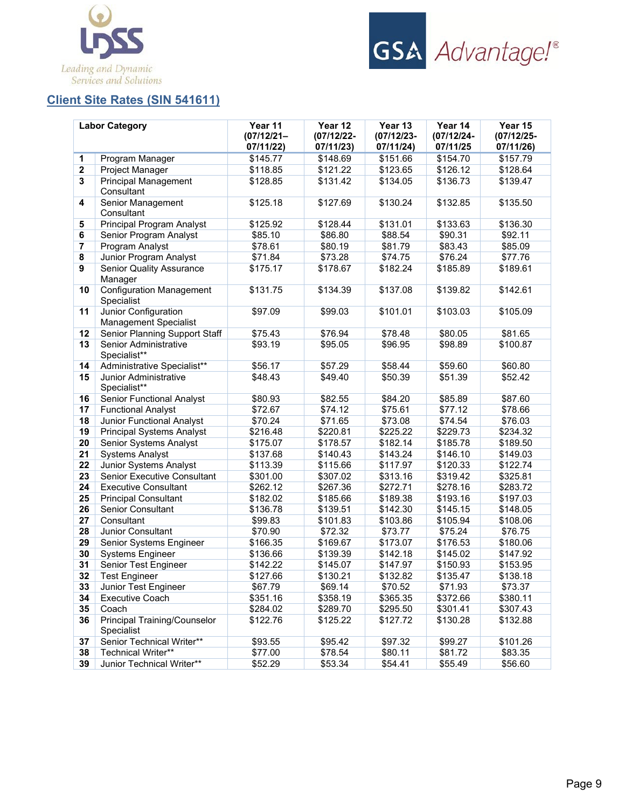



# **Client Site Rates (SIN 541611)**

|             | <b>Labor Category</b>                                | Year 11<br>$(07/12/21 -$<br>07/11/22) | Year 12<br>(07/12/22-<br>07/11/23) | Year 13<br>$(07/12/23 -$<br>07/11/24) | Year 14<br>(07/12/24-<br>07/11/25 | Year 15<br>$(07/12/25 -$<br>07/11/26) |
|-------------|------------------------------------------------------|---------------------------------------|------------------------------------|---------------------------------------|-----------------------------------|---------------------------------------|
| 1           | Program Manager                                      | \$145.77                              | \$148.69                           | \$151.66                              | \$154.70                          | \$157.79                              |
| $\mathbf 2$ | Project Manager                                      | \$118.85                              | \$121.22                           | \$123.65                              | \$126.12                          | \$128.64                              |
| 3           | <b>Principal Management</b><br>Consultant            | \$128.85                              | \$131.42                           | \$134.05                              | \$136.73                          | \$139.47                              |
| 4           | Senior Management<br>Consultant                      | \$125.18                              | \$127.69                           | \$130.24                              | \$132.85                          | \$135.50                              |
| 5           | Principal Program Analyst                            | \$125.92                              | \$128.44                           | \$131.01                              | \$133.63                          | \$136.30                              |
| 6           | Senior Program Analyst                               | \$85.10                               | \$86.80                            | \$88.54                               | \$90.31                           | \$92.11                               |
| 7           | Program Analyst                                      | \$78.61                               | \$80.19                            | \$81.79                               | \$83.43                           | \$85.09                               |
| 8           | Junior Program Analyst                               | \$71.84                               | \$73.28                            | \$74.75                               | \$76.24                           | \$77.76                               |
| 9           | <b>Senior Quality Assurance</b><br>Manager           | \$175.17                              | \$178.67                           | \$182.24                              | \$185.89                          | \$189.61                              |
| 10          | <b>Configuration Management</b><br>Specialist        | \$131.75                              | \$134.39                           | \$137.08                              | \$139.82                          | \$142.61                              |
| 11          | Junior Configuration<br><b>Management Specialist</b> | \$97.09                               | \$99.03                            | \$101.01                              | \$103.03                          | \$105.09                              |
| 12          | Senior Planning Support Staff                        | \$75.43                               | \$76.94                            | \$78.48                               | \$80.05                           | \$81.65                               |
| 13          | Senior Administrative<br>Specialist**                | \$93.19                               | \$95.05                            | \$96.95                               | \$98.89                           | \$100.87                              |
| 14          | Administrative Specialist**                          | \$56.17                               | \$57.29                            | \$58.44                               | \$59.60                           | \$60.80                               |
| 15          | Junior Administrative<br>Specialist**                | \$48.43                               | \$49.40                            | \$50.39                               | \$51.39                           | \$52.42                               |
| 16          | <b>Senior Functional Analyst</b>                     | \$80.93                               | \$82.55                            | \$84.20                               | \$85.89                           | \$87.60                               |
| 17          | <b>Functional Analyst</b>                            | \$72.67                               | \$74.12                            | \$75.61                               | \$77.12                           | \$78.66                               |
| 18          | Junior Functional Analyst                            | \$70.24                               | \$71.65                            | \$73.08                               | \$74.54                           | \$76.03                               |
| 19          | <b>Principal Systems Analyst</b>                     | \$216.48                              | \$220.81                           | \$225.22                              | \$229.73                          | \$234.32                              |
| 20          | Senior Systems Analyst                               | \$175.07                              | \$178.57                           | \$182.14                              | \$185.78                          | \$189.50                              |
| 21          | <b>Systems Analyst</b>                               | \$137.68                              | \$140.43                           | \$143.24                              | \$146.10                          | \$149.03                              |
| 22          | Junior Systems Analyst                               | \$113.39                              | \$115.66                           | \$117.97                              | \$120.33                          | \$122.74                              |
| 23          | Senior Executive Consultant                          | \$301.00                              | \$307.02                           | \$313.16                              | \$319.42                          | \$325.81                              |
| 24          | <b>Executive Consultant</b>                          | \$262.12                              | \$267.36                           | \$272.71                              | \$278.16                          | \$283.72                              |
| 25          | <b>Principal Consultant</b>                          | \$182.02                              | \$185.66                           | \$189.38                              | \$193.16                          | \$197.03                              |
| 26          | <b>Senior Consultant</b>                             | \$136.78                              | \$139.51                           | \$142.30                              | \$145.15                          | \$148.05                              |
| 27          | Consultant                                           | \$99.83                               | \$101.83                           | \$103.86                              | \$105.94                          | \$108.06                              |
| 28          | Junior Consultant                                    | \$70.90                               | \$72.32                            | \$73.77                               | \$75.24                           | \$76.75                               |
| 29          | Senior Systems Engineer                              | \$166.35                              | \$169.67                           | \$173.07                              | \$176.53                          | \$180.06                              |
| 30          | <b>Systems Engineer</b>                              | \$136.66                              | \$139.39                           | \$142.18                              | \$145.02                          | \$147.92                              |
| 31          | Senior Test Engineer                                 | \$142.22                              | \$145.07                           | \$147.97                              | \$150.93                          | \$153.95                              |
| 32          | <b>Test Engineer</b>                                 | \$127.66                              | \$130.21                           | \$132.82                              | \$135.47                          | \$138.18                              |
| 33          | Junior Test Engineer                                 | \$67.79                               | \$69.14                            | \$70.52                               | \$71.93                           | \$73.37                               |
| 34          | <b>Executive Coach</b>                               | \$351.16                              | \$358.19                           | \$365.35                              | \$372.66                          | \$380.11                              |
| 35          | Coach                                                | \$284.02                              | \$289.70                           | \$295.50                              | \$301.41                          | \$307.43                              |
| 36          | <b>Principal Training/Counselor</b><br>Specialist    | \$122.76                              | \$125.22                           | \$127.72                              | \$130.28                          | \$132.88                              |
| 37          | Senior Technical Writer**                            | \$93.55                               | \$95.42                            | \$97.32                               | \$99.27                           | \$101.26                              |
| 38          | <b>Technical Writer**</b>                            | \$77.00                               | \$78.54                            | \$80.11                               | \$81.72                           | \$83.35                               |
| 39          | Junior Technical Writer**                            | \$52.29                               | \$53.34                            | \$54.41                               | \$55.49                           | \$56.60                               |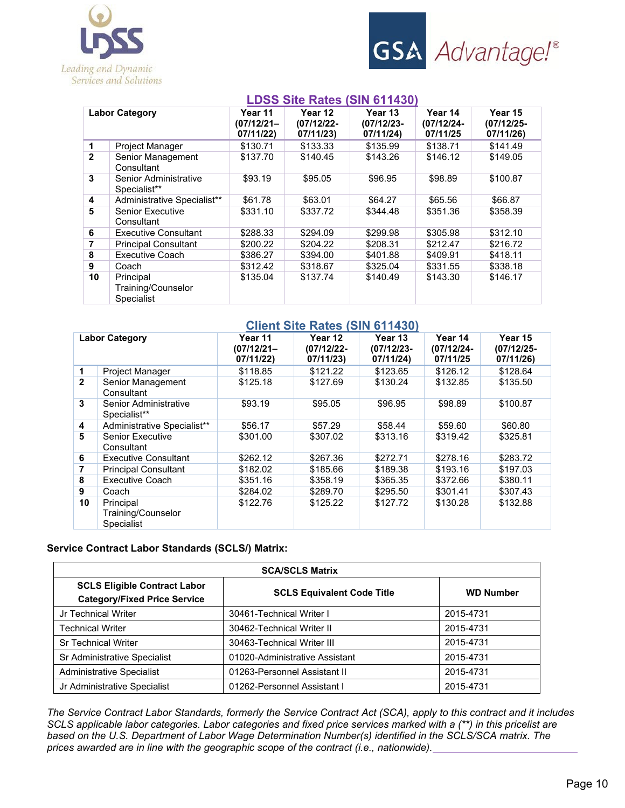



# **LDSS Site Rates (SIN 611430)**

|                |                                               |                                       |                                       | . . <del>.</del>                      |                                   |                                       |
|----------------|-----------------------------------------------|---------------------------------------|---------------------------------------|---------------------------------------|-----------------------------------|---------------------------------------|
|                | <b>Labor Category</b>                         | Year 11<br>$(07/12/21 -$<br>07/11/22) | Year 12<br>$(07/12/22 -$<br>07/11/23) | Year 13<br>$(07/12/23 -$<br>07/11/24) | Year 14<br>(07/12/24-<br>07/11/25 | Year 15<br>$(07/12/25 -$<br>07/11/26) |
| $\mathbf{1}$   | Project Manager                               | \$130.71                              | \$133.33                              | \$135.99                              | \$138.71                          | \$141.49                              |
| $\overline{2}$ | Senior Management<br>Consultant               | \$137.70                              | \$140.45                              | \$143.26                              | \$146.12                          | \$149.05                              |
| 3              | Senior Administrative<br>Specialist**         | \$93.19                               | \$95.05                               | \$96.95                               | \$98.89                           | \$100.87                              |
| 4              | Administrative Specialist**                   | \$61.78                               | \$63.01                               | \$64.27                               | \$65.56                           | \$66.87                               |
| 5              | <b>Senior Executive</b><br>Consultant         | \$331.10                              | \$337.72                              | \$344.48                              | \$351.36                          | \$358.39                              |
| 6              | <b>Executive Consultant</b>                   | \$288.33                              | \$294.09                              | \$299.98                              | \$305.98                          | \$312.10                              |
| 7              | <b>Principal Consultant</b>                   | \$200.22                              | \$204.22                              | \$208.31                              | \$212.47                          | \$216.72                              |
| 8              | <b>Executive Coach</b>                        | \$386.27                              | \$394.00                              | \$401.88                              | \$409.91                          | \$418.11                              |
| 9              | Coach                                         | \$312.42                              | \$318.67                              | \$325.04                              | \$331.55                          | \$338.18                              |
| 10             | Principal<br>Training/Counselor<br>Specialist | \$135.04                              | \$137.74                              | \$140.49                              | \$143.30                          | \$146.17                              |

#### **Client Site Rates (SIN 611430)**

|              | <b>Labor Category</b>                                | Year 11<br>$(07/12/21 -$<br>07/11/22) | Year 12<br>(07/12/22-<br>07/11/23) | Year 13<br>$(07/12/23 -$<br>07/11/24) | Year 14<br>$(07/12/24 -$<br>07/11/25 | Year 15<br>$(07/12/25 -$<br>07/11/26) |
|--------------|------------------------------------------------------|---------------------------------------|------------------------------------|---------------------------------------|--------------------------------------|---------------------------------------|
| 1            | Project Manager                                      | \$118.85                              | \$121.22                           | \$123.65                              | \$126.12                             | \$128.64                              |
| $\mathbf{2}$ | Senior Management<br>Consultant                      | \$125.18                              | \$127.69                           | \$130.24                              | \$132.85                             | \$135.50                              |
| 3            | Senior Administrative<br>Specialist**                | \$93.19                               | \$95.05                            | \$96.95                               | \$98.89                              | \$100.87                              |
| 4            | Administrative Specialist**                          | \$56.17                               | \$57.29                            | \$58.44                               | \$59.60                              | \$60.80                               |
| 5            | Senior Executive<br>Consultant                       | \$301.00                              | \$307.02                           | \$313.16                              | \$319.42                             | \$325.81                              |
| 6            | <b>Executive Consultant</b>                          | \$262.12                              | \$267.36                           | \$272.71                              | \$278.16                             | \$283.72                              |
| 7            | <b>Principal Consultant</b>                          | \$182.02                              | \$185.66                           | \$189.38                              | \$193.16                             | \$197.03                              |
| 8            | <b>Executive Coach</b>                               | \$351.16                              | \$358.19                           | \$365.35                              | \$372.66                             | \$380.11                              |
| 9            | Coach                                                | \$284.02                              | \$289.70                           | \$295.50                              | \$301.41                             | \$307.43                              |
| 10           | Principal<br>Training/Counselor<br><b>Specialist</b> | \$122.76                              | \$125.22                           | \$127.72                              | \$130.28                             | \$132.88                              |

#### **Service Contract Labor Standards (SCLS/) Matrix:**

| <b>SCA/SCLS Matrix</b>                                                     |                                   |                  |  |  |
|----------------------------------------------------------------------------|-----------------------------------|------------------|--|--|
| <b>SCLS Eligible Contract Labor</b><br><b>Category/Fixed Price Service</b> | <b>SCLS Equivalent Code Title</b> | <b>WD Number</b> |  |  |
| Jr Technical Writer                                                        | 30461-Technical Writer I          | 2015-4731        |  |  |
| <b>Technical Writer</b>                                                    | 30462-Technical Writer II         | 2015-4731        |  |  |
| <b>Sr Technical Writer</b>                                                 | 30463-Technical Writer III        | 2015-4731        |  |  |
| Sr Administrative Specialist                                               | 01020-Administrative Assistant    | 2015-4731        |  |  |
| <b>Administrative Specialist</b>                                           | 01263-Personnel Assistant II      | 2015-4731        |  |  |
| Jr Administrative Specialist                                               | 01262-Personnel Assistant I       | 2015-4731        |  |  |

*The Service Contract Labor Standards, formerly the Service Contract Act (SCA), apply to this contract and it includes SCLS applicable labor categories. Labor categories and fixed price services marked with a (\*\*) in this pricelist are based on the U.S. Department of Labor Wage Determination Number(s) identified in the SCLS/SCA matrix. The prices awarded are in line with the geographic scope of the contract (i.e., nationwide).*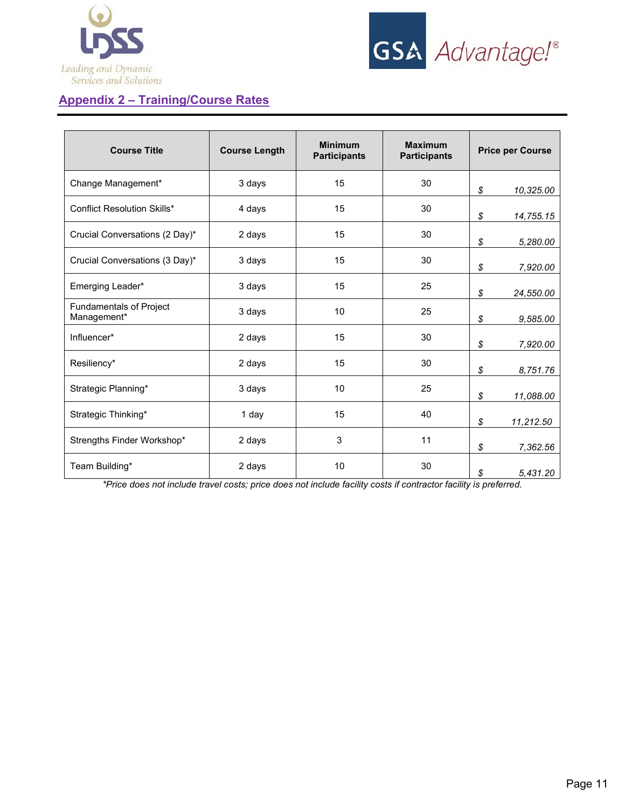



# **Appendix 2 – Training/Course Rates**

| <b>Course Title</b>                    | <b>Course Length</b> |    | <b>Maximum</b><br><b>Participants</b> | <b>Price per Course</b> |
|----------------------------------------|----------------------|----|---------------------------------------|-------------------------|
| Change Management*                     | 3 days               | 15 | 30                                    | \$<br>10,325.00         |
| <b>Conflict Resolution Skills*</b>     | 4 days               | 15 | 30                                    | \$<br>14,755.15         |
| Crucial Conversations (2 Day)*         | 15<br>30<br>2 days   |    | \$<br>5,280.00                        |                         |
| Crucial Conversations (3 Day)*         | 3 days               | 15 | 30                                    | \$<br>7,920.00          |
| Emerging Leader*                       | 3 days               | 15 | 25                                    | \$<br>24,550.00         |
| Fundamentals of Project<br>Management* | 3 days               | 10 | 25                                    | \$<br>9,585.00          |
| Influencer*                            | 2 days               | 15 | 30                                    | \$<br>7,920.00          |
| Resiliency*                            | 2 days               | 15 | 30                                    | \$<br>8,751.76          |
| Strategic Planning*                    | 3 days               | 10 | 25                                    | \$<br>11,088.00         |
| Strategic Thinking*                    | 1 day                | 15 | 40                                    | \$<br>11,212.50         |
| Strengths Finder Workshop*             | 2 days               | 3  | 11                                    | \$<br>7,362.56          |
| Team Building*                         | 2 days               | 10 | 30                                    | \$<br>5,431.20          |

*\*Price does not include travel costs; price does not include facility costs if contractor facility is preferred.*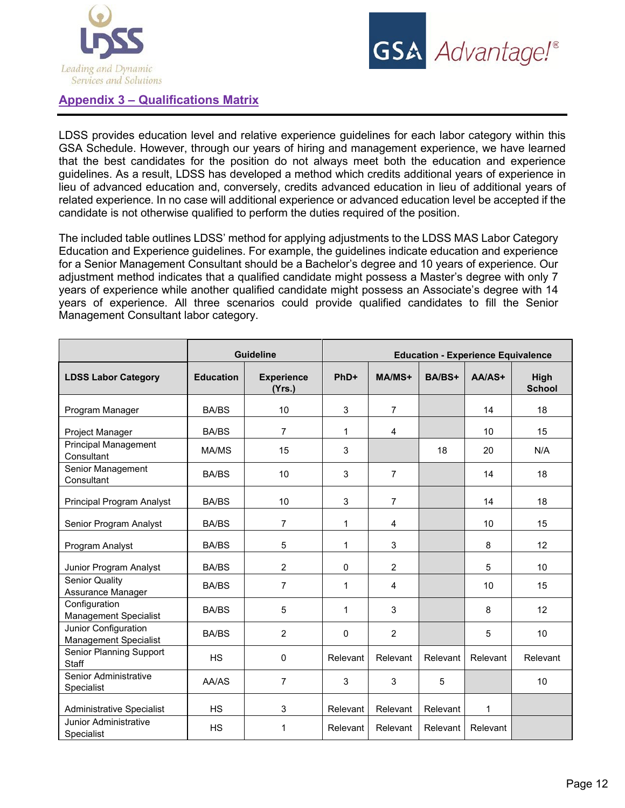



# **Appendix 3 – Qualifications Matrix**

LDSS provides education level and relative experience guidelines for each labor category within this GSA Schedule. However, through our years of hiring and management experience, we have learned that the best candidates for the position do not always meet both the education and experience guidelines. As a result, LDSS has developed a method which credits additional years of experience in lieu of advanced education and, conversely, credits advanced education in lieu of additional years of related experience. In no case will additional experience or advanced education level be accepted if the candidate is not otherwise qualified to perform the duties required of the position.

The included table outlines LDSS' method for applying adjustments to the LDSS MAS Labor Category Education and Experience guidelines. For example, the guidelines indicate education and experience for a Senior Management Consultant should be a Bachelor's degree and 10 years of experience. Our adjustment method indicates that a qualified candidate might possess a Master's degree with only 7 years of experience while another qualified candidate might possess an Associate's degree with 14 years of experience. All three scenarios could provide qualified candidates to fill the Senior Management Consultant labor category.

|                                                      |                  | <b>Guideline</b>            |             |                |          | <b>Education - Experience Equivalence</b> |                       |
|------------------------------------------------------|------------------|-----------------------------|-------------|----------------|----------|-------------------------------------------|-----------------------|
| <b>LDSS Labor Category</b>                           | <b>Education</b> | <b>Experience</b><br>(Yrs.) | PhD+        | MA/MS+         | BA/BS+   | $AA/AS+$                                  | High<br><b>School</b> |
| Program Manager                                      | <b>BA/BS</b>     | 10                          | 3           | $\overline{7}$ |          | 14                                        | 18                    |
| Project Manager                                      | <b>BA/BS</b>     | 7                           | 1           | 4              |          | 10                                        | 15                    |
| <b>Principal Management</b><br>Consultant            | MA/MS            | 15                          | 3           |                | 18       | 20                                        | N/A                   |
| Senior Management<br>Consultant                      | <b>BA/BS</b>     | 10                          | 3           | $\overline{7}$ |          | 14                                        | 18                    |
| Principal Program Analyst                            | <b>BA/BS</b>     | 10                          | 3           | $\overline{7}$ |          | 14                                        | 18                    |
| Senior Program Analyst                               | <b>BA/BS</b>     | $\overline{7}$              | 1           | 4              |          | 10                                        | 15                    |
| Program Analyst                                      | <b>BA/BS</b>     | 5                           | 1           | 3              |          | 8                                         | 12                    |
| Junior Program Analyst                               | <b>BA/BS</b>     | $\overline{2}$              | $\Omega$    | $\overline{2}$ |          | 5                                         | 10                    |
| <b>Senior Quality</b><br>Assurance Manager           | <b>BA/BS</b>     | $\overline{7}$              | 1           | $\overline{4}$ |          | 10                                        | 15                    |
| Configuration<br><b>Management Specialist</b>        | <b>BA/BS</b>     | 5                           | $\mathbf 1$ | 3              |          | 8                                         | 12                    |
| Junior Configuration<br><b>Management Specialist</b> | <b>BA/BS</b>     | $\overline{2}$              | $\Omega$    | 2              |          | 5                                         | 10                    |
| <b>Senior Planning Support</b><br>Staff              | <b>HS</b>        | $\mathbf 0$                 | Relevant    | Relevant       | Relevant | Relevant                                  | Relevant              |
| Senior Administrative<br>Specialist                  | AA/AS            | $\overline{7}$              | 3           | 3              | 5        |                                           | 10                    |
| <b>Administrative Specialist</b>                     | <b>HS</b>        | 3                           | Relevant    | Relevant       | Relevant | 1                                         |                       |
| <b>Junior Administrative</b><br>Specialist           | <b>HS</b>        | $\mathbf 1$                 | Relevant    | Relevant       | Relevant | Relevant                                  |                       |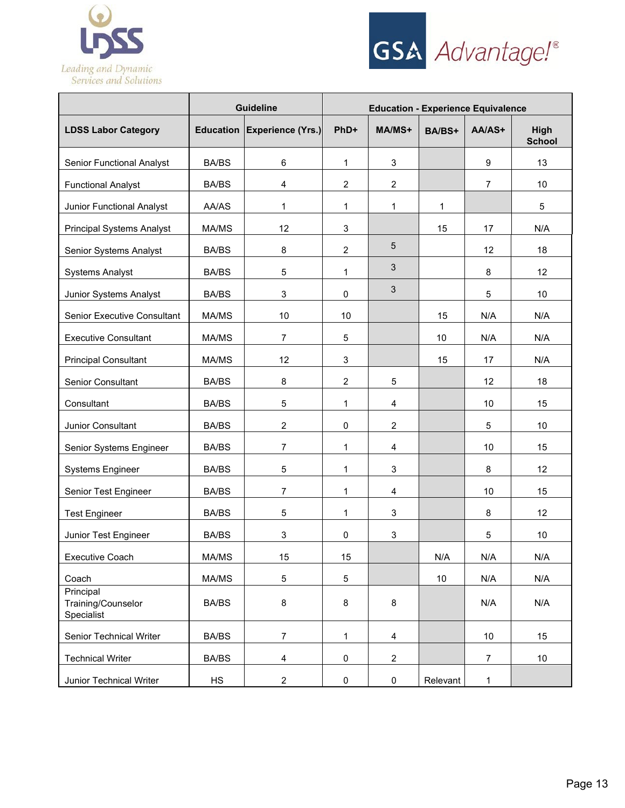



|                                               | <b>Guideline</b> |                             | <b>Education - Experience Equivalence</b> |                 |          |                |                       |
|-----------------------------------------------|------------------|-----------------------------|-------------------------------------------|-----------------|----------|----------------|-----------------------|
| <b>LDSS Labor Category</b>                    |                  | Education Experience (Yrs.) | PhD+                                      | MA/MS+          | BA/BS+   | AA/AS+         | High<br><b>School</b> |
| <b>Senior Functional Analyst</b>              | <b>BA/BS</b>     | 6                           | $\mathbf 1$                               | $\mathfrak{S}$  |          | 9              | 13                    |
| <b>Functional Analyst</b>                     | <b>BA/BS</b>     | 4                           | $\overline{2}$                            | $\overline{2}$  |          | $\overline{7}$ | 10                    |
| <b>Junior Functional Analyst</b>              | AA/AS            | 1                           | $\mathbf{1}$                              | 1               | 1        |                | 5                     |
| <b>Principal Systems Analyst</b>              | MA/MS            | 12                          | $\mathbf 3$                               |                 | 15       | 17             | N/A                   |
| Senior Systems Analyst                        | <b>BA/BS</b>     | 8                           | $\overline{2}$                            | $5\phantom{.0}$ |          | 12             | 18                    |
| <b>Systems Analyst</b>                        | <b>BA/BS</b>     | $\mathbf 5$                 | 1                                         | 3               |          | 8              | 12                    |
| Junior Systems Analyst                        | <b>BA/BS</b>     | 3                           | 0                                         | $\mathfrak{S}$  |          | 5              | 10                    |
| <b>Senior Executive Consultant</b>            | MA/MS            | 10                          | 10                                        |                 | 15       | N/A            | N/A                   |
| <b>Executive Consultant</b>                   | MA/MS            | $\overline{7}$              | 5                                         |                 | 10       | N/A            | N/A                   |
| <b>Principal Consultant</b>                   | MA/MS            | 12                          | 3                                         |                 | 15       | 17             | N/A                   |
| <b>Senior Consultant</b>                      | <b>BA/BS</b>     | 8                           | $\overline{2}$                            | 5               |          | 12             | 18                    |
| Consultant                                    | <b>BA/BS</b>     | 5                           | $\mathbf{1}$                              | $\overline{4}$  |          | 10             | 15                    |
| Junior Consultant                             | <b>BA/BS</b>     | $\overline{2}$              | $\mathbf 0$                               | $\overline{2}$  |          | 5              | 10                    |
| Senior Systems Engineer                       | <b>BA/BS</b>     | 7                           | 1                                         | $\overline{4}$  |          | 10             | 15                    |
| Systems Engineer                              | <b>BA/BS</b>     | $\mathbf 5$                 | 1                                         | $\mathfrak{S}$  |          | 8              | 12                    |
| Senior Test Engineer                          | <b>BA/BS</b>     | 7                           | 1                                         | 4               |          | 10             | 15                    |
| <b>Test Engineer</b>                          | <b>BA/BS</b>     | 5                           | $\mathbf{1}$                              | 3               |          | 8              | 12                    |
| Junior Test Engineer                          | <b>BA/BS</b>     | $\ensuremath{\mathsf{3}}$   | $\mathbf 0$                               | 3               |          | $\mathbf 5$    | 10                    |
| Executive Coach                               | MA/MS            | 15                          | 15                                        |                 | N/A      | N/A            | N/A                   |
| Coach                                         | MA/MS            | $\mathbf 5$                 | 5                                         |                 | 10       | N/A            | N/A                   |
| Principal<br>Training/Counselor<br>Specialist | <b>BA/BS</b>     | 8                           | 8                                         | 8               |          | N/A            | N/A                   |
| <b>Senior Technical Writer</b>                | <b>BA/BS</b>     | $\overline{7}$              | $\mathbf 1$                               | $\overline{4}$  |          | 10             | 15                    |
| <b>Technical Writer</b>                       | <b>BA/BS</b>     | 4                           | 0                                         | $\overline{2}$  |          | $\overline{7}$ | $10$                  |
| Junior Technical Writer                       | HS               | $\overline{c}$              | 0                                         | 0               | Relevant | $\mathbf{1}$   |                       |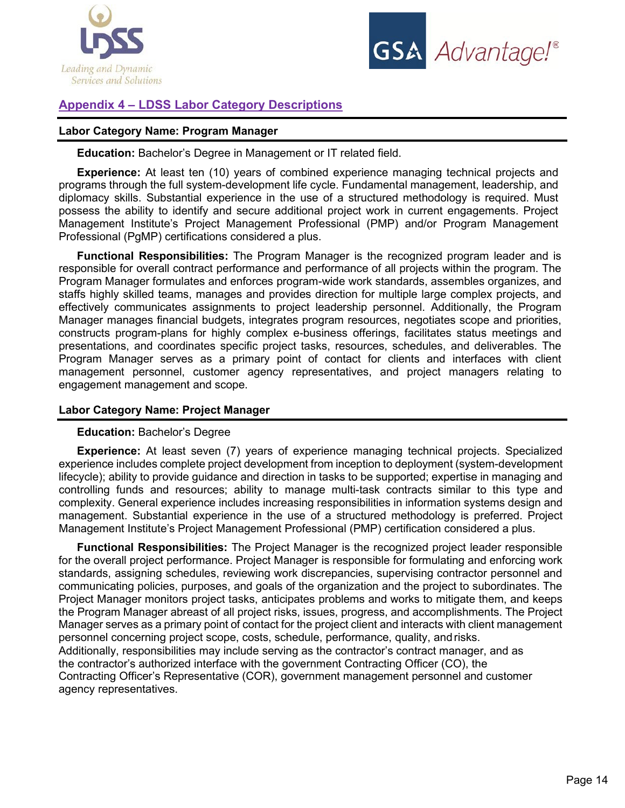



# **Appendix 4 – LDSS Labor Category Descriptions**

# **Labor Category Name: Program Manager**

**Education:** Bachelor's Degree in Management or IT related field.

**Experience:** At least ten (10) years of combined experience managing technical projects and programs through the full system-development life cycle. Fundamental management, leadership, and diplomacy skills. Substantial experience in the use of a structured methodology is required. Must possess the ability to identify and secure additional project work in current engagements. Project Management Institute's Project Management Professional (PMP) and/or Program Management Professional (PgMP) certifications considered a plus.

**Functional Responsibilities:** The Program Manager is the recognized program leader and is responsible for overall contract performance and performance of all projects within the program. The Program Manager formulates and enforces program-wide work standards, assembles organizes, and staffs highly skilled teams, manages and provides direction for multiple large complex projects, and effectively communicates assignments to project leadership personnel. Additionally, the Program Manager manages financial budgets, integrates program resources, negotiates scope and priorities, constructs program-plans for highly complex e-business offerings, facilitates status meetings and presentations, and coordinates specific project tasks, resources, schedules, and deliverables. The Program Manager serves as a primary point of contact for clients and interfaces with client management personnel, customer agency representatives, and project managers relating to engagement management and scope.

## **Labor Category Name: Project Manager**

#### **Education:** Bachelor's Degree

**Experience:** At least seven (7) years of experience managing technical projects. Specialized experience includes complete project development from inception to deployment (system-development lifecycle); ability to provide guidance and direction in tasks to be supported; expertise in managing and controlling funds and resources; ability to manage multi-task contracts similar to this type and complexity. General experience includes increasing responsibilities in information systems design and management. Substantial experience in the use of a structured methodology is preferred. Project Management Institute's Project Management Professional (PMP) certification considered a plus.

**Functional Responsibilities:** The Project Manager is the recognized project leader responsible for the overall project performance. Project Manager is responsible for formulating and enforcing work standards, assigning schedules, reviewing work discrepancies, supervising contractor personnel and communicating policies, purposes, and goals of the organization and the project to subordinates. The Project Manager monitors project tasks, anticipates problems and works to mitigate them, and keeps the Program Manager abreast of all project risks, issues, progress, and accomplishments. The Project Manager serves as a primary point of contact for the project client and interacts with client management personnel concerning project scope, costs, schedule, performance, quality, and risks. Additionally, responsibilities may include serving as the contractor's contract manager, and as the contractor's authorized interface with the government Contracting Officer (CO), the Contracting Officer's Representative (COR), government management personnel and customer agency representatives.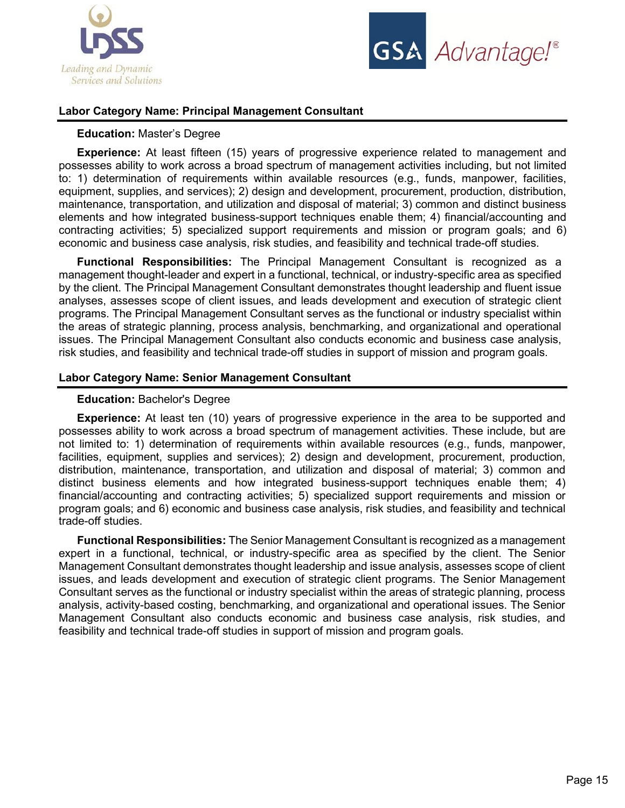



# **Labor Category Name: Principal Management Consultant**

### **Education:** Master's Degree

**Experience:** At least fifteen (15) years of progressive experience related to management and possesses ability to work across a broad spectrum of management activities including, but not limited to: 1) determination of requirements within available resources (e.g., funds, manpower, facilities, equipment, supplies, and services); 2) design and development, procurement, production, distribution, maintenance, transportation, and utilization and disposal of material; 3) common and distinct business elements and how integrated business-support techniques enable them; 4) financial/accounting and contracting activities; 5) specialized support requirements and mission or program goals; and 6) economic and business case analysis, risk studies, and feasibility and technical trade-off studies.

**Functional Responsibilities:** The Principal Management Consultant is recognized as a management thought-leader and expert in a functional, technical, or industry-specific area as specified by the client. The Principal Management Consultant demonstrates thought leadership and fluent issue analyses, assesses scope of client issues, and leads development and execution of strategic client programs. The Principal Management Consultant serves as the functional or industry specialist within the areas of strategic planning, process analysis, benchmarking, and organizational and operational issues. The Principal Management Consultant also conducts economic and business case analysis, risk studies, and feasibility and technical trade-off studies in support of mission and program goals.

#### **Labor Category Name: Senior Management Consultant**

#### **Education:** Bachelor's Degree

**Experience:** At least ten (10) years of progressive experience in the area to be supported and possesses ability to work across a broad spectrum of management activities. These include, but are not limited to: 1) determination of requirements within available resources (e.g., funds, manpower, facilities, equipment, supplies and services); 2) design and development, procurement, production, distribution, maintenance, transportation, and utilization and disposal of material; 3) common and distinct business elements and how integrated business-support techniques enable them; 4) financial/accounting and contracting activities; 5) specialized support requirements and mission or program goals; and 6) economic and business case analysis, risk studies, and feasibility and technical trade-off studies.

**Functional Responsibilities:** The Senior Management Consultant is recognized as a management expert in a functional, technical, or industry-specific area as specified by the client. The Senior Management Consultant demonstrates thought leadership and issue analysis, assesses scope of client issues, and leads development and execution of strategic client programs. The Senior Management Consultant serves as the functional or industry specialist within the areas of strategic planning, process analysis, activity-based costing, benchmarking, and organizational and operational issues. The Senior Management Consultant also conducts economic and business case analysis, risk studies, and feasibility and technical trade-off studies in support of mission and program goals.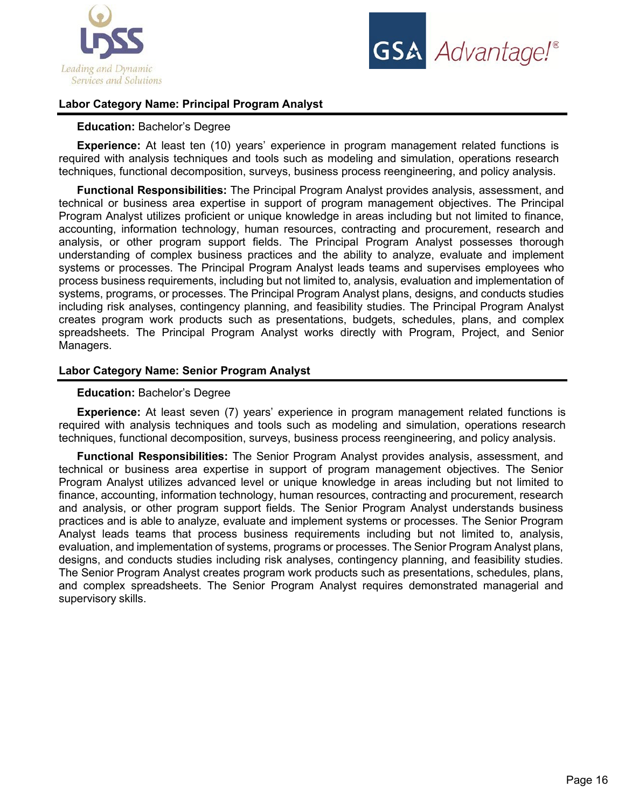



# **Labor Category Name: Principal Program Analyst**

#### **Education:** Bachelor's Degree

**Experience:** At least ten (10) years' experience in program management related functions is required with analysis techniques and tools such as modeling and simulation, operations research techniques, functional decomposition, surveys, business process reengineering, and policy analysis.

**Functional Responsibilities:** The Principal Program Analyst provides analysis, assessment, and technical or business area expertise in support of program management objectives. The Principal Program Analyst utilizes proficient or unique knowledge in areas including but not limited to finance, accounting, information technology, human resources, contracting and procurement, research and analysis, or other program support fields. The Principal Program Analyst possesses thorough understanding of complex business practices and the ability to analyze, evaluate and implement systems or processes. The Principal Program Analyst leads teams and supervises employees who process business requirements, including but not limited to, analysis, evaluation and implementation of systems, programs, or processes. The Principal Program Analyst plans, designs, and conducts studies including risk analyses, contingency planning, and feasibility studies. The Principal Program Analyst creates program work products such as presentations, budgets, schedules, plans, and complex spreadsheets. The Principal Program Analyst works directly with Program, Project, and Senior Managers.

# **Labor Category Name: Senior Program Analyst**

#### **Education:** Bachelor's Degree

**Experience:** At least seven (7) years' experience in program management related functions is required with analysis techniques and tools such as modeling and simulation, operations research techniques, functional decomposition, surveys, business process reengineering, and policy analysis.

**Functional Responsibilities:** The Senior Program Analyst provides analysis, assessment, and technical or business area expertise in support of program management objectives. The Senior Program Analyst utilizes advanced level or unique knowledge in areas including but not limited to finance, accounting, information technology, human resources, contracting and procurement, research and analysis, or other program support fields. The Senior Program Analyst understands business practices and is able to analyze, evaluate and implement systems or processes. The Senior Program Analyst leads teams that process business requirements including but not limited to, analysis, evaluation, and implementation of systems, programs or processes. The Senior Program Analyst plans, designs, and conducts studies including risk analyses, contingency planning, and feasibility studies. The Senior Program Analyst creates program work products such as presentations, schedules, plans, and complex spreadsheets. The Senior Program Analyst requires demonstrated managerial and supervisory skills.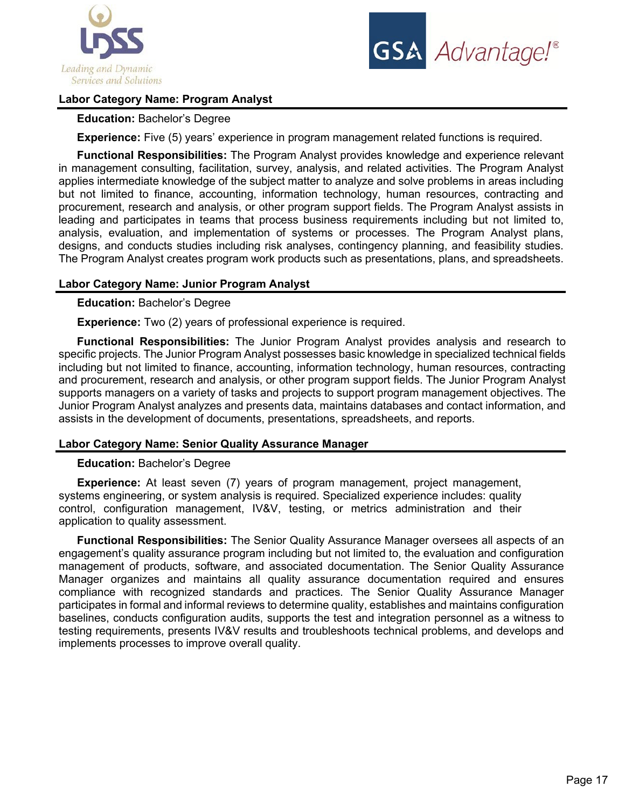



# **Labor Category Name: Program Analyst**

## **Education:** Bachelor's Degree

**Experience:** Five (5) years' experience in program management related functions is required.

**Functional Responsibilities:** The Program Analyst provides knowledge and experience relevant in management consulting, facilitation, survey, analysis, and related activities. The Program Analyst applies intermediate knowledge of the subject matter to analyze and solve problems in areas including but not limited to finance, accounting, information technology, human resources, contracting and procurement, research and analysis, or other program support fields. The Program Analyst assists in leading and participates in teams that process business requirements including but not limited to, analysis, evaluation, and implementation of systems or processes. The Program Analyst plans, designs, and conducts studies including risk analyses, contingency planning, and feasibility studies. The Program Analyst creates program work products such as presentations, plans, and spreadsheets.

# **Labor Category Name: Junior Program Analyst**

**Education:** Bachelor's Degree

**Experience:** Two (2) years of professional experience is required.

**Functional Responsibilities:** The Junior Program Analyst provides analysis and research to specific projects. The Junior Program Analyst possesses basic knowledge in specialized technical fields including but not limited to finance, accounting, information technology, human resources, contracting and procurement, research and analysis, or other program support fields. The Junior Program Analyst supports managers on a variety of tasks and projects to support program management objectives. The Junior Program Analyst analyzes and presents data, maintains databases and contact information, and assists in the development of documents, presentations, spreadsheets, and reports.

#### **Labor Category Name: Senior Quality Assurance Manager**

#### **Education:** Bachelor's Degree

**Experience:** At least seven (7) years of program management, project management, systems engineering, or system analysis is required. Specialized experience includes: quality control, configuration management, IV&V, testing, or metrics administration and their application to quality assessment.

**Functional Responsibilities:** The Senior Quality Assurance Manager oversees all aspects of an engagement's quality assurance program including but not limited to, the evaluation and configuration management of products, software, and associated documentation. The Senior Quality Assurance Manager organizes and maintains all quality assurance documentation required and ensures compliance with recognized standards and practices. The Senior Quality Assurance Manager participates in formal and informal reviews to determine quality, establishes and maintains configuration baselines, conducts configuration audits, supports the test and integration personnel as a witness to testing requirements, presents IV&V results and troubleshoots technical problems, and develops and implements processes to improve overall quality.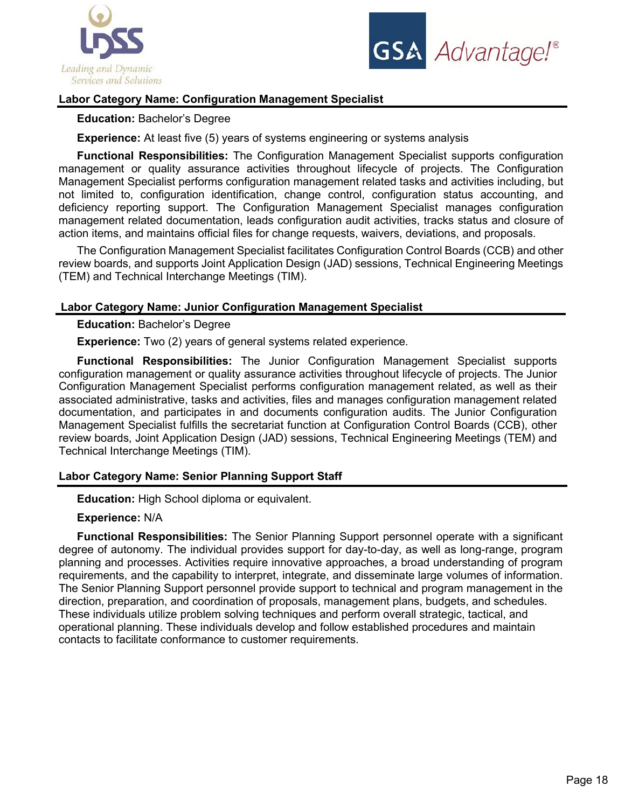



# **Labor Category Name: Configuration Management Specialist**

**Education:** Bachelor's Degree

**Experience:** At least five (5) years of systems engineering or systems analysis

**Functional Responsibilities:** The Configuration Management Specialist supports configuration management or quality assurance activities throughout lifecycle of projects. The Configuration Management Specialist performs configuration management related tasks and activities including, but not limited to, configuration identification, change control, configuration status accounting, and deficiency reporting support. The Configuration Management Specialist manages configuration management related documentation, leads configuration audit activities, tracks status and closure of action items, and maintains official files for change requests, waivers, deviations, and proposals.

The Configuration Management Specialist facilitates Configuration Control Boards (CCB) and other review boards, and supports Joint Application Design (JAD) sessions, Technical Engineering Meetings (TEM) and Technical Interchange Meetings (TIM).

# **Labor Category Name: Junior Configuration Management Specialist**

**Education:** Bachelor's Degree

**Experience:** Two (2) years of general systems related experience.

**Functional Responsibilities:** The Junior Configuration Management Specialist supports configuration management or quality assurance activities throughout lifecycle of projects. The Junior Configuration Management Specialist performs configuration management related, as well as their associated administrative, tasks and activities, files and manages configuration management related documentation, and participates in and documents configuration audits. The Junior Configuration Management Specialist fulfills the secretariat function at Configuration Control Boards (CCB), other review boards, Joint Application Design (JAD) sessions, Technical Engineering Meetings (TEM) and Technical Interchange Meetings (TIM).

# **Labor Category Name: Senior Planning Support Staff**

**Education:** High School diploma or equivalent.

**Experience:** N/A

**Functional Responsibilities:** The Senior Planning Support personnel operate with a significant degree of autonomy. The individual provides support for day-to-day, as well as long-range, program planning and processes. Activities require innovative approaches, a broad understanding of program requirements, and the capability to interpret, integrate, and disseminate large volumes of information. The Senior Planning Support personnel provide support to technical and program management in the direction, preparation, and coordination of proposals, management plans, budgets, and schedules. These individuals utilize problem solving techniques and perform overall strategic, tactical, and operational planning. These individuals develop and follow established procedures and maintain contacts to facilitate conformance to customer requirements.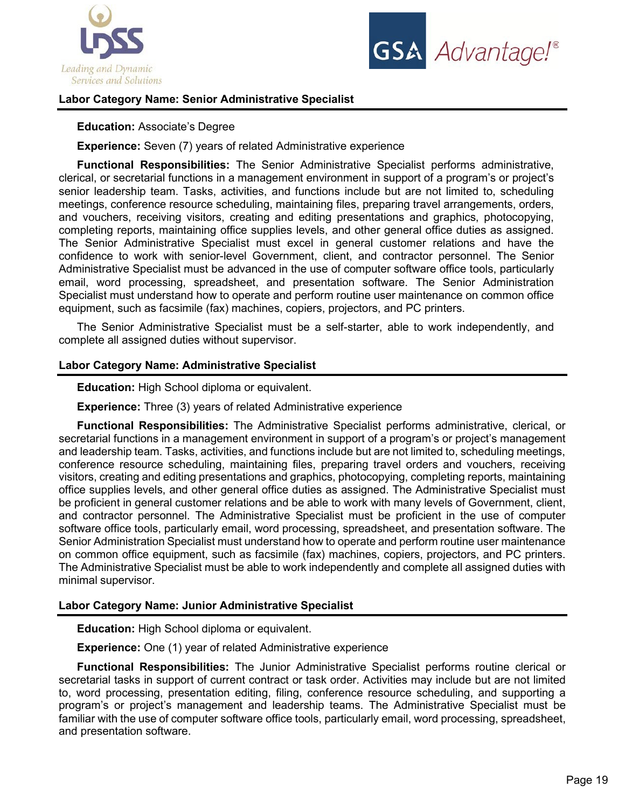



# **Labor Category Name: Senior Administrative Specialist**

#### **Education:** Associate's Degree

**Experience:** Seven (7) years of related Administrative experience

**Functional Responsibilities:** The Senior Administrative Specialist performs administrative, clerical, or secretarial functions in a management environment in support of a program's or project's senior leadership team. Tasks, activities, and functions include but are not limited to, scheduling meetings, conference resource scheduling, maintaining files, preparing travel arrangements, orders, and vouchers, receiving visitors, creating and editing presentations and graphics, photocopying, completing reports, maintaining office supplies levels, and other general office duties as assigned. The Senior Administrative Specialist must excel in general customer relations and have the confidence to work with senior-level Government, client, and contractor personnel. The Senior Administrative Specialist must be advanced in the use of computer software office tools, particularly email, word processing, spreadsheet, and presentation software. The Senior Administration Specialist must understand how to operate and perform routine user maintenance on common office equipment, such as facsimile (fax) machines, copiers, projectors, and PC printers.

The Senior Administrative Specialist must be a self-starter, able to work independently, and complete all assigned duties without supervisor.

#### **Labor Category Name: Administrative Specialist**

**Education:** High School diploma or equivalent.

**Experience:** Three (3) years of related Administrative experience

**Functional Responsibilities:** The Administrative Specialist performs administrative, clerical, or secretarial functions in a management environment in support of a program's or project's management and leadership team. Tasks, activities, and functions include but are not limited to, scheduling meetings, conference resource scheduling, maintaining files, preparing travel orders and vouchers, receiving visitors, creating and editing presentations and graphics, photocopying, completing reports, maintaining office supplies levels, and other general office duties as assigned. The Administrative Specialist must be proficient in general customer relations and be able to work with many levels of Government, client, and contractor personnel. The Administrative Specialist must be proficient in the use of computer software office tools, particularly email, word processing, spreadsheet, and presentation software. The Senior Administration Specialist must understand how to operate and perform routine user maintenance on common office equipment, such as facsimile (fax) machines, copiers, projectors, and PC printers. The Administrative Specialist must be able to work independently and complete all assigned duties with minimal supervisor.

#### **Labor Category Name: Junior Administrative Specialist**

**Education:** High School diploma or equivalent.

**Experience:** One (1) year of related Administrative experience

**Functional Responsibilities:** The Junior Administrative Specialist performs routine clerical or secretarial tasks in support of current contract or task order. Activities may include but are not limited to, word processing, presentation editing, filing, conference resource scheduling, and supporting a program's or project's management and leadership teams. The Administrative Specialist must be familiar with the use of computer software office tools, particularly email, word processing, spreadsheet, and presentation software.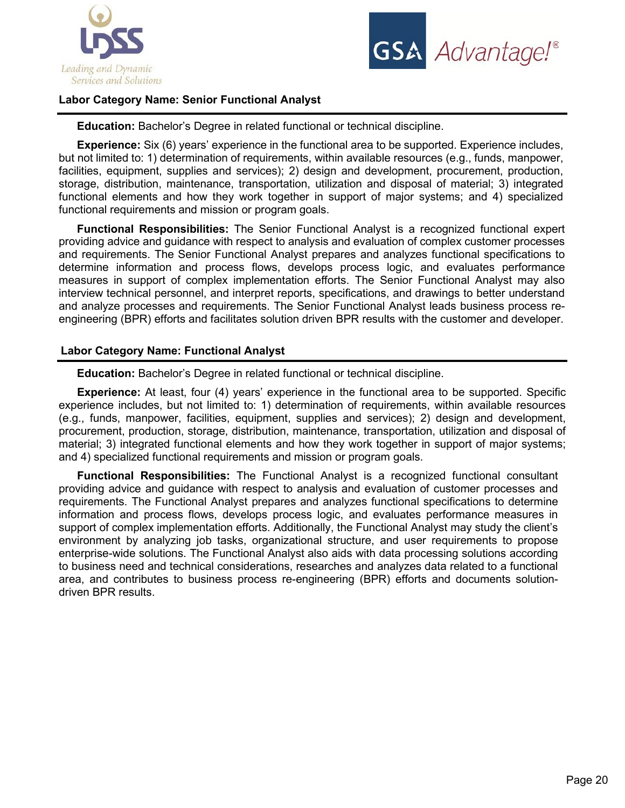



# **Labor Category Name: Senior Functional Analyst**

**Education:** Bachelor's Degree in related functional or technical discipline.

**Experience:** Six (6) years' experience in the functional area to be supported. Experience includes, but not limited to: 1) determination of requirements, within available resources (e.g., funds, manpower, facilities, equipment, supplies and services); 2) design and development, procurement, production, storage, distribution, maintenance, transportation, utilization and disposal of material; 3) integrated functional elements and how they work together in support of major systems; and 4) specialized functional requirements and mission or program goals.

**Functional Responsibilities:** The Senior Functional Analyst is a recognized functional expert providing advice and guidance with respect to analysis and evaluation of complex customer processes and requirements. The Senior Functional Analyst prepares and analyzes functional specifications to determine information and process flows, develops process logic, and evaluates performance measures in support of complex implementation efforts. The Senior Functional Analyst may also interview technical personnel, and interpret reports, specifications, and drawings to better understand and analyze processes and requirements. The Senior Functional Analyst leads business process reengineering (BPR) efforts and facilitates solution driven BPR results with the customer and developer.

# **Labor Category Name: Functional Analyst**

**Education:** Bachelor's Degree in related functional or technical discipline.

**Experience:** At least, four (4) years' experience in the functional area to be supported. Specific experience includes, but not limited to: 1) determination of requirements, within available resources (e.g., funds, manpower, facilities, equipment, supplies and services); 2) design and development, procurement, production, storage, distribution, maintenance, transportation, utilization and disposal of material; 3) integrated functional elements and how they work together in support of major systems; and 4) specialized functional requirements and mission or program goals.

**Functional Responsibilities:** The Functional Analyst is a recognized functional consultant providing advice and guidance with respect to analysis and evaluation of customer processes and requirements. The Functional Analyst prepares and analyzes functional specifications to determine information and process flows, develops process logic, and evaluates performance measures in support of complex implementation efforts. Additionally, the Functional Analyst may study the client's environment by analyzing job tasks, organizational structure, and user requirements to propose enterprise-wide solutions. The Functional Analyst also aids with data processing solutions according to business need and technical considerations, researches and analyzes data related to a functional area, and contributes to business process re-engineering (BPR) efforts and documents solutiondriven BPR results.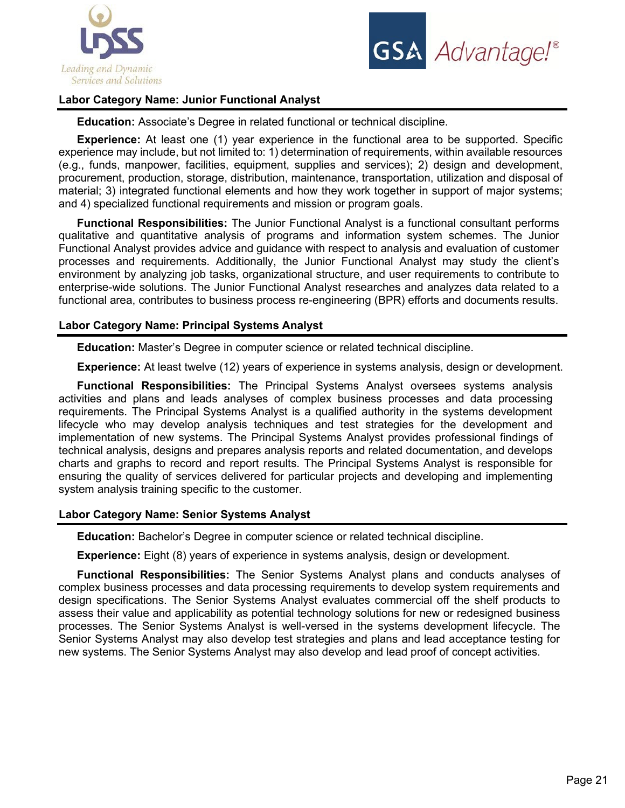



# **Labor Category Name: Junior Functional Analyst**

**Education:** Associate's Degree in related functional or technical discipline.

**Experience:** At least one (1) year experience in the functional area to be supported. Specific experience may include, but not limited to: 1) determination of requirements, within available resources (e.g., funds, manpower, facilities, equipment, supplies and services); 2) design and development, procurement, production, storage, distribution, maintenance, transportation, utilization and disposal of material; 3) integrated functional elements and how they work together in support of major systems; and 4) specialized functional requirements and mission or program goals.

**Functional Responsibilities:** The Junior Functional Analyst is a functional consultant performs qualitative and quantitative analysis of programs and information system schemes. The Junior Functional Analyst provides advice and guidance with respect to analysis and evaluation of customer processes and requirements. Additionally, the Junior Functional Analyst may study the client's environment by analyzing job tasks, organizational structure, and user requirements to contribute to enterprise-wide solutions. The Junior Functional Analyst researches and analyzes data related to a functional area, contributes to business process re-engineering (BPR) efforts and documents results.

#### **Labor Category Name: Principal Systems Analyst**

**Education:** Master's Degree in computer science or related technical discipline.

**Experience:** At least twelve (12) years of experience in systems analysis, design or development.

**Functional Responsibilities:** The Principal Systems Analyst oversees systems analysis activities and plans and leads analyses of complex business processes and data processing requirements. The Principal Systems Analyst is a qualified authority in the systems development lifecycle who may develop analysis techniques and test strategies for the development and implementation of new systems. The Principal Systems Analyst provides professional findings of technical analysis, designs and prepares analysis reports and related documentation, and develops charts and graphs to record and report results. The Principal Systems Analyst is responsible for ensuring the quality of services delivered for particular projects and developing and implementing system analysis training specific to the customer.

#### **Labor Category Name: Senior Systems Analyst**

**Education:** Bachelor's Degree in computer science or related technical discipline.

**Experience:** Eight (8) years of experience in systems analysis, design or development.

**Functional Responsibilities:** The Senior Systems Analyst plans and conducts analyses of complex business processes and data processing requirements to develop system requirements and design specifications. The Senior Systems Analyst evaluates commercial off the shelf products to assess their value and applicability as potential technology solutions for new or redesigned business processes. The Senior Systems Analyst is well-versed in the systems development lifecycle. The Senior Systems Analyst may also develop test strategies and plans and lead acceptance testing for new systems. The Senior Systems Analyst may also develop and lead proof of concept activities.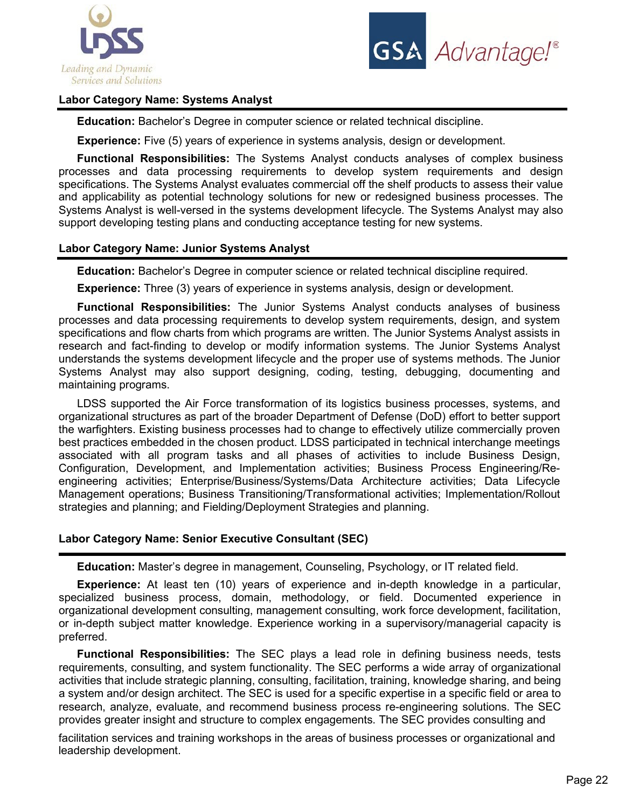



# **Labor Category Name: Systems Analyst**

**Education:** Bachelor's Degree in computer science or related technical discipline.

**Experience:** Five (5) years of experience in systems analysis, design or development.

**Functional Responsibilities:** The Systems Analyst conducts analyses of complex business processes and data processing requirements to develop system requirements and design specifications. The Systems Analyst evaluates commercial off the shelf products to assess their value and applicability as potential technology solutions for new or redesigned business processes. The Systems Analyst is well-versed in the systems development lifecycle. The Systems Analyst may also support developing testing plans and conducting acceptance testing for new systems.

# **Labor Category Name: Junior Systems Analyst**

**Education:** Bachelor's Degree in computer science or related technical discipline required.

**Experience:** Three (3) years of experience in systems analysis, design or development.

**Functional Responsibilities:** The Junior Systems Analyst conducts analyses of business processes and data processing requirements to develop system requirements, design, and system specifications and flow charts from which programs are written. The Junior Systems Analyst assists in research and fact-finding to develop or modify information systems. The Junior Systems Analyst understands the systems development lifecycle and the proper use of systems methods. The Junior Systems Analyst may also support designing, coding, testing, debugging, documenting and maintaining programs.

LDSS supported the Air Force transformation of its logistics business processes, systems, and organizational structures as part of the broader Department of Defense (DoD) effort to better support the warfighters. Existing business processes had to change to effectively utilize commercially proven best practices embedded in the chosen product. LDSS participated in technical interchange meetings associated with all program tasks and all phases of activities to include Business Design, Configuration, Development, and Implementation activities; Business Process Engineering/Reengineering activities; Enterprise/Business/Systems/Data Architecture activities; Data Lifecycle Management operations; Business Transitioning/Transformational activities; Implementation/Rollout strategies and planning; and Fielding/Deployment Strategies and planning.

# **Labor Category Name: Senior Executive Consultant (SEC)**

**Education:** Master's degree in management, Counseling, Psychology, or IT related field.

**Experience:** At least ten (10) years of experience and in-depth knowledge in a particular, specialized business process, domain, methodology, or field. Documented experience in organizational development consulting, management consulting, work force development, facilitation, or in-depth subject matter knowledge. Experience working in a supervisory/managerial capacity is preferred.

**Functional Responsibilities:** The SEC plays a lead role in defining business needs, tests requirements, consulting, and system functionality. The SEC performs a wide array of organizational activities that include strategic planning, consulting, facilitation, training, knowledge sharing, and being a system and/or design architect. The SEC is used for a specific expertise in a specific field or area to research, analyze, evaluate, and recommend business process re-engineering solutions. The SEC provides greater insight and structure to complex engagements. The SEC provides consulting and

facilitation services and training workshops in the areas of business processes or organizational and leadership development.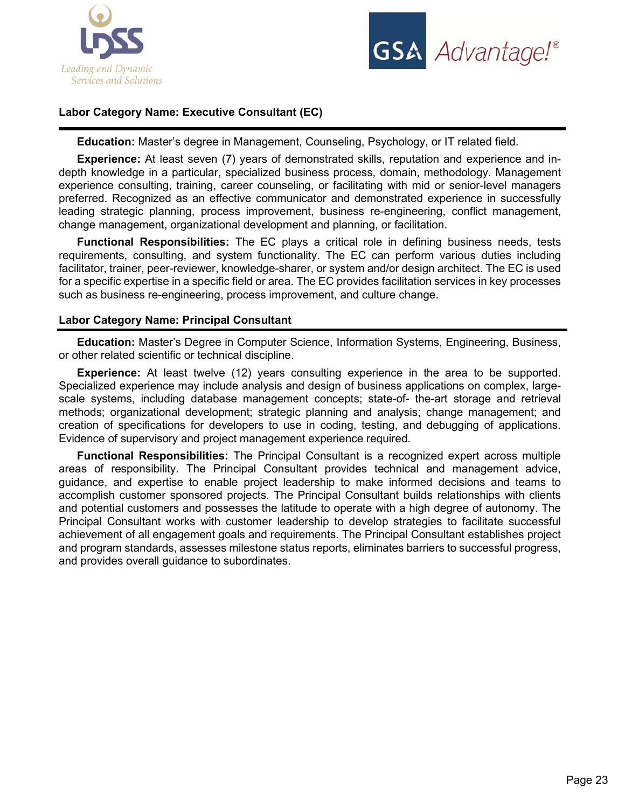



# **Labor Category Name: Executive Consultant (EC)**

**Education:** Master's degree in Management, Counseling, Psychology, or IT related field.

**Experience:** At least seven (7) years of demonstrated skills, reputation and experience and indepth knowledge in a particular, specialized business process, domain, methodology. Management experience consulting, training, career counseling, or facilitating with mid or senior-level managers preferred. Recognized as an effective communicator and demonstrated experience in successfully leading strategic planning, process improvement, business re-engineering, conflict management, change management, organizational development and planning, or facilitation.

**Functional Responsibilities:** The EC plays a critical role in defining business needs, tests requirements, consulting, and system functionality. The EC can perform various duties including facilitator, trainer, peer-reviewer, knowledge-sharer, or system and/or design architect. The EC is used for a specific expertise in a specific field or area. The EC provides facilitation services in key processes such as business re-engineering, process improvement, and culture change.

# **Labor Category Name: Principal Consultant**

**Education:** Master's Degree in Computer Science, Information Systems, Engineering, Business, or other related scientific or technical discipline.

**Experience:** At least twelve (12) years consulting experience in the area to be supported. Specialized experience may include analysis and design of business applications on complex, largescale systems, including database management concepts; state-of- the-art storage and retrieval methods; organizational development; strategic planning and analysis; change management; and creation of specifications for developers to use in coding, testing, and debugging of applications. Evidence of supervisory and project management experience required.

**Functional Responsibilities:** The Principal Consultant is a recognized expert across multiple areas of responsibility. The Principal Consultant provides technical and management advice, guidance, and expertise to enable project leadership to make informed decisions and teams to accomplish customer sponsored projects. The Principal Consultant builds relationships with clients and potential customers and possesses the latitude to operate with a high degree of autonomy. The Principal Consultant works with customer leadership to develop strategies to facilitate successful achievement of all engagement goals and requirements. The Principal Consultant establishes project and program standards, assesses milestone status reports, eliminates barriers to successful progress, and provides overall guidance to subordinates.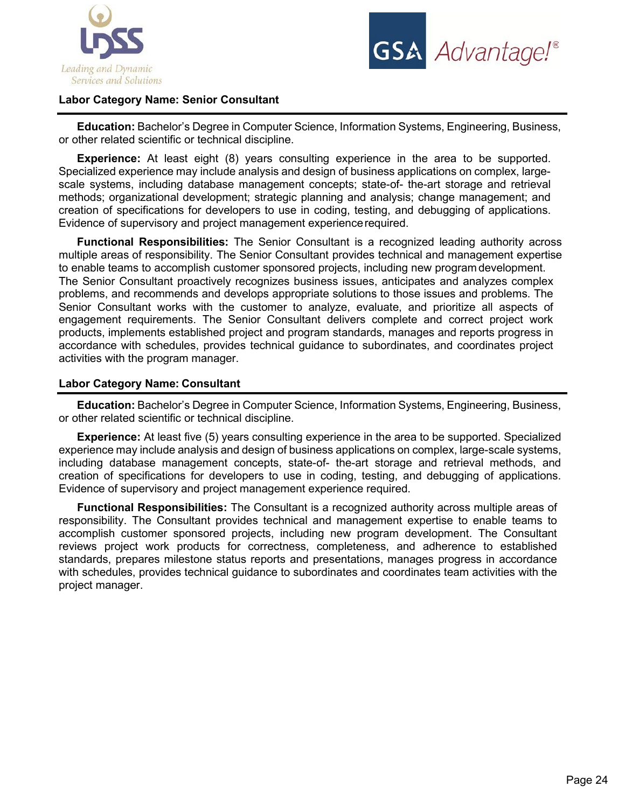



# **Labor Category Name: Senior Consultant**

**Education:** Bachelor's Degree in Computer Science, Information Systems, Engineering, Business, or other related scientific or technical discipline.

**Experience:** At least eight (8) years consulting experience in the area to be supported. Specialized experience may include analysis and design of business applications on complex, largescale systems, including database management concepts; state-of- the-art storage and retrieval methods; organizational development; strategic planning and analysis; change management; and creation of specifications for developers to use in coding, testing, and debugging of applications. Evidence of supervisory and project management experiencerequired.

**Functional Responsibilities:** The Senior Consultant is a recognized leading authority across multiple areas of responsibility. The Senior Consultant provides technical and management expertise to enable teams to accomplish customer sponsored projects, including new program development. The Senior Consultant proactively recognizes business issues, anticipates and analyzes complex problems, and recommends and develops appropriate solutions to those issues and problems. The Senior Consultant works with the customer to analyze, evaluate, and prioritize all aspects of engagement requirements. The Senior Consultant delivers complete and correct project work products, implements established project and program standards, manages and reports progress in accordance with schedules, provides technical guidance to subordinates, and coordinates project activities with the program manager.

#### **Labor Category Name: Consultant**

**Education:** Bachelor's Degree in Computer Science, Information Systems, Engineering, Business, or other related scientific or technical discipline.

**Experience:** At least five (5) years consulting experience in the area to be supported. Specialized experience may include analysis and design of business applications on complex, large-scale systems, including database management concepts, state-of- the-art storage and retrieval methods, and creation of specifications for developers to use in coding, testing, and debugging of applications. Evidence of supervisory and project management experience required.

**Functional Responsibilities:** The Consultant is a recognized authority across multiple areas of responsibility. The Consultant provides technical and management expertise to enable teams to accomplish customer sponsored projects, including new program development. The Consultant reviews project work products for correctness, completeness, and adherence to established standards, prepares milestone status reports and presentations, manages progress in accordance with schedules, provides technical guidance to subordinates and coordinates team activities with the project manager.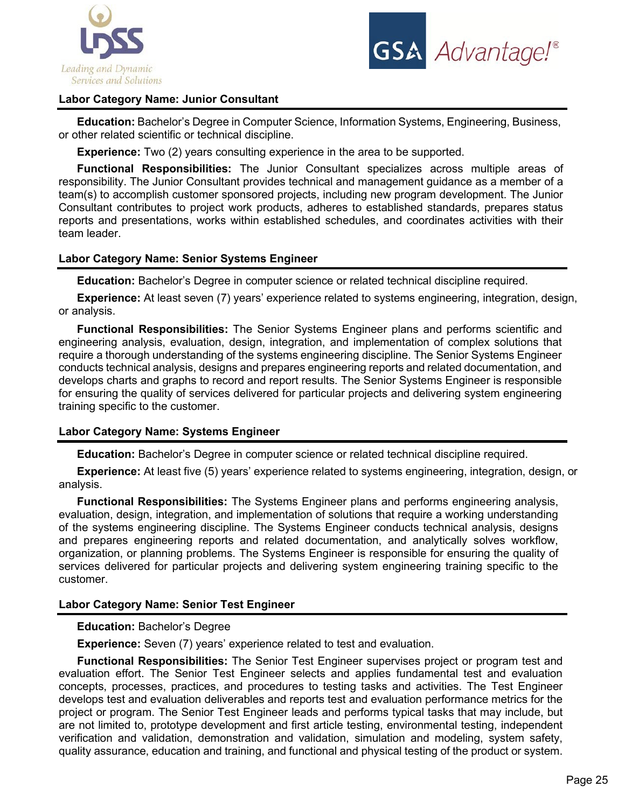



# **Labor Category Name: Junior Consultant**

**Education:** Bachelor's Degree in Computer Science, Information Systems, Engineering, Business, or other related scientific or technical discipline.

**Experience:** Two (2) years consulting experience in the area to be supported.

**Functional Responsibilities:** The Junior Consultant specializes across multiple areas of responsibility. The Junior Consultant provides technical and management guidance as a member of a team(s) to accomplish customer sponsored projects, including new program development. The Junior Consultant contributes to project work products, adheres to established standards, prepares status reports and presentations, works within established schedules, and coordinates activities with their team leader.

#### **Labor Category Name: Senior Systems Engineer**

**Education:** Bachelor's Degree in computer science or related technical discipline required.

**Experience:** At least seven (7) years' experience related to systems engineering, integration, design, or analysis.

**Functional Responsibilities:** The Senior Systems Engineer plans and performs scientific and engineering analysis, evaluation, design, integration, and implementation of complex solutions that require a thorough understanding of the systems engineering discipline. The Senior Systems Engineer conducts technical analysis, designs and prepares engineering reports and related documentation, and develops charts and graphs to record and report results. The Senior Systems Engineer is responsible for ensuring the quality of services delivered for particular projects and delivering system engineering training specific to the customer.

## **Labor Category Name: Systems Engineer**

**Education:** Bachelor's Degree in computer science or related technical discipline required.

**Experience:** At least five (5) years' experience related to systems engineering, integration, design, or analysis.

**Functional Responsibilities:** The Systems Engineer plans and performs engineering analysis, evaluation, design, integration, and implementation of solutions that require a working understanding of the systems engineering discipline. The Systems Engineer conducts technical analysis, designs and prepares engineering reports and related documentation, and analytically solves workflow, organization, or planning problems. The Systems Engineer is responsible for ensuring the quality of services delivered for particular projects and delivering system engineering training specific to the customer.

#### **Labor Category Name: Senior Test Engineer**

#### **Education:** Bachelor's Degree

**Experience:** Seven (7) years' experience related to test and evaluation.

**Functional Responsibilities:** The Senior Test Engineer supervises project or program test and evaluation effort. The Senior Test Engineer selects and applies fundamental test and evaluation concepts, processes, practices, and procedures to testing tasks and activities. The Test Engineer develops test and evaluation deliverables and reports test and evaluation performance metrics for the project or program. The Senior Test Engineer leads and performs typical tasks that may include, but are not limited to, prototype development and first article testing, environmental testing, independent verification and validation, demonstration and validation, simulation and modeling, system safety, quality assurance, education and training, and functional and physical testing of the product or system.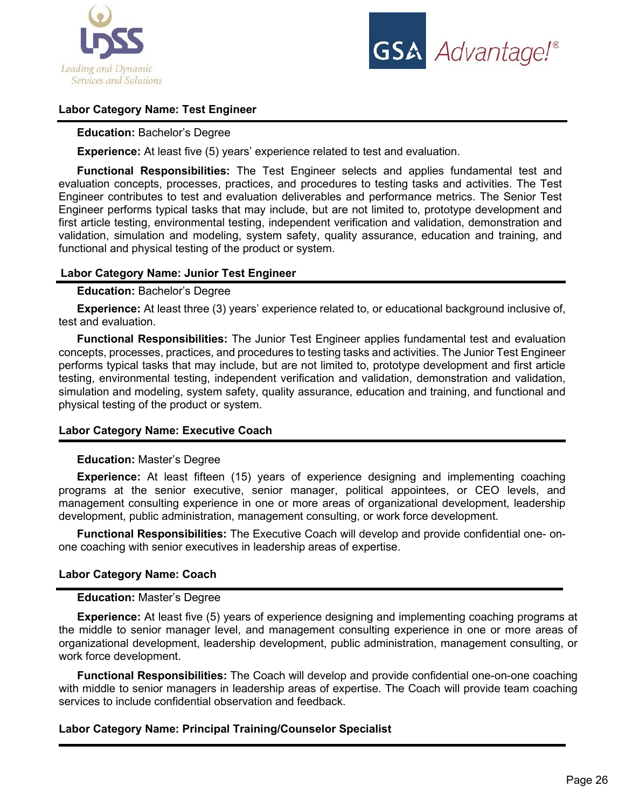



# **Labor Category Name: Test Engineer**

## **Education:** Bachelor's Degree

**Experience:** At least five (5) years' experience related to test and evaluation.

**Functional Responsibilities:** The Test Engineer selects and applies fundamental test and evaluation concepts, processes, practices, and procedures to testing tasks and activities. The Test Engineer contributes to test and evaluation deliverables and performance metrics. The Senior Test Engineer performs typical tasks that may include, but are not limited to, prototype development and first article testing, environmental testing, independent verification and validation, demonstration and validation, simulation and modeling, system safety, quality assurance, education and training, and functional and physical testing of the product or system.

# **Labor Category Name: Junior Test Engineer**

## **Education:** Bachelor's Degree

**Experience:** At least three (3) years' experience related to, or educational background inclusive of, test and evaluation.

**Functional Responsibilities:** The Junior Test Engineer applies fundamental test and evaluation concepts, processes, practices, and procedures to testing tasks and activities. The Junior Test Engineer performs typical tasks that may include, but are not limited to, prototype development and first article testing, environmental testing, independent verification and validation, demonstration and validation, simulation and modeling, system safety, quality assurance, education and training, and functional and physical testing of the product or system.

#### **Labor Category Name: Executive Coach**

#### **Education:** Master's Degree

**Experience:** At least fifteen (15) years of experience designing and implementing coaching programs at the senior executive, senior manager, political appointees, or CEO levels, and management consulting experience in one or more areas of organizational development, leadership development, public administration, management consulting, or work force development.

**Functional Responsibilities:** The Executive Coach will develop and provide confidential one- onone coaching with senior executives in leadership areas of expertise.

#### **Labor Category Name: Coach**

#### **Education:** Master's Degree

**Experience:** At least five (5) years of experience designing and implementing coaching programs at the middle to senior manager level, and management consulting experience in one or more areas of organizational development, leadership development, public administration, management consulting, or work force development.

**Functional Responsibilities:** The Coach will develop and provide confidential one-on-one coaching with middle to senior managers in leadership areas of expertise. The Coach will provide team coaching services to include confidential observation and feedback.

# **Labor Category Name: Principal Training/Counselor Specialist**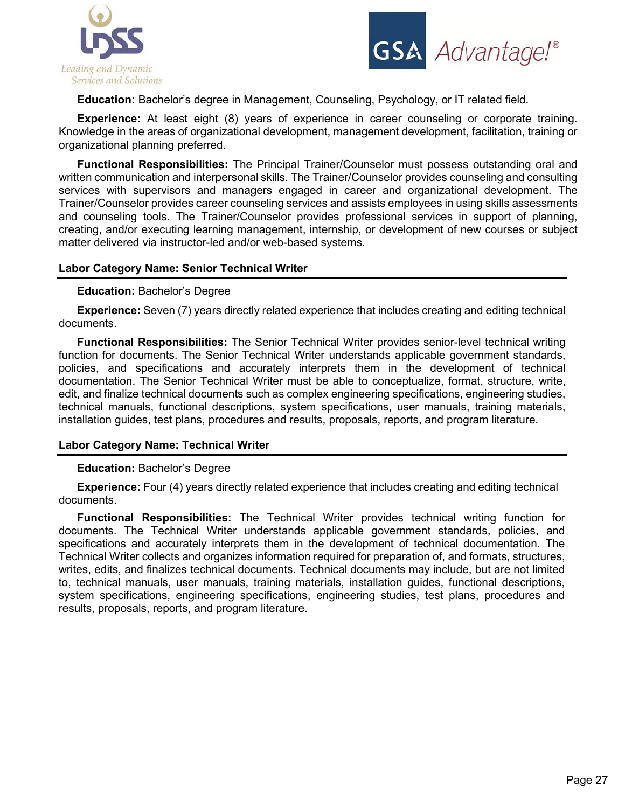



**Education:** Bachelor's degree in Management, Counseling, Psychology, or IT related field.

**Experience:** At least eight (8) years of experience in career counseling or corporate training. Knowledge in the areas of organizational development, management development, facilitation, training or organizational planning preferred.

**Functional Responsibilities:** The Principal Trainer/Counselor must possess outstanding oral and written communication and interpersonal skills. The Trainer/Counselor provides counseling and consulting services with supervisors and managers engaged in career and organizational development. The Trainer/Counselor provides career counseling services and assists employees in using skills assessments and counseling tools. The Trainer/Counselor provides professional services in support of planning, creating, and/or executing learning management, internship, or development of new courses or subject matter delivered via instructor-led and/or web-based systems.

# **Labor Category Name: Senior Technical Writer**

#### **Education:** Bachelor's Degree

**Experience:** Seven (7) years directly related experience that includes creating and editing technical documents.

**Functional Responsibilities:** The Senior Technical Writer provides senior-level technical writing function for documents. The Senior Technical Writer understands applicable government standards, policies, and specifications and accurately interprets them in the development of technical documentation. The Senior Technical Writer must be able to conceptualize, format, structure, write, edit, and finalize technical documents such as complex engineering specifications, engineering studies, technical manuals, functional descriptions, system specifications, user manuals, training materials, installation guides, test plans, procedures and results, proposals, reports, and program literature.

#### **Labor Category Name: Technical Writer**

#### **Education:** Bachelor's Degree

**Experience:** Four (4) years directly related experience that includes creating and editing technical documents.

**Functional Responsibilities:** The Technical Writer provides technical writing function for documents. The Technical Writer understands applicable government standards, policies, and specifications and accurately interprets them in the development of technical documentation. The Technical Writer collects and organizes information required for preparation of, and formats, structures, writes, edits, and finalizes technical documents. Technical documents may include, but are not limited to, technical manuals, user manuals, training materials, installation guides, functional descriptions, system specifications, engineering specifications, engineering studies, test plans, procedures and results, proposals, reports, and program literature.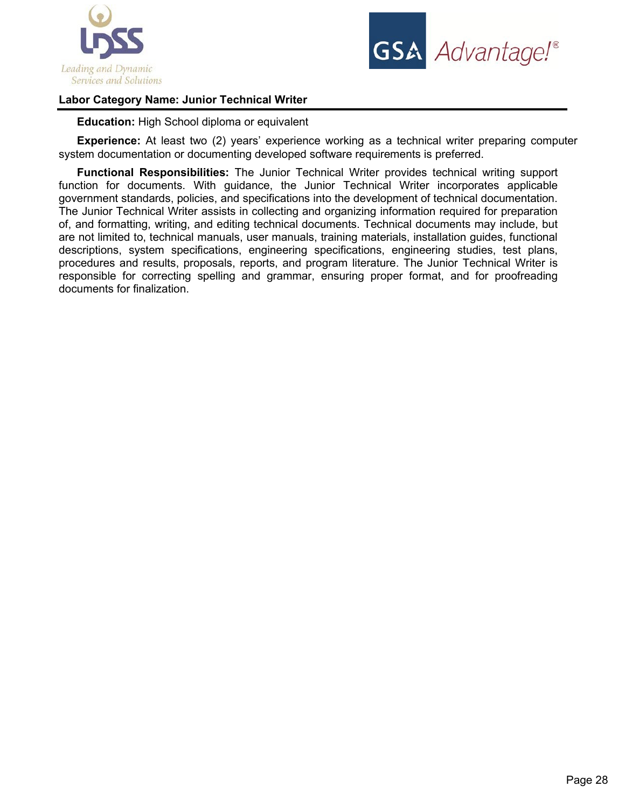



# **Labor Category Name: Junior Technical Writer**

**Education:** High School diploma or equivalent

**Experience:** At least two (2) years' experience working as a technical writer preparing computer system documentation or documenting developed software requirements is preferred.

**Functional Responsibilities:** The Junior Technical Writer provides technical writing support function for documents. With guidance, the Junior Technical Writer incorporates applicable government standards, policies, and specifications into the development of technical documentation. The Junior Technical Writer assists in collecting and organizing information required for preparation of, and formatting, writing, and editing technical documents. Technical documents may include, but are not limited to, technical manuals, user manuals, training materials, installation guides, functional descriptions, system specifications, engineering specifications, engineering studies, test plans, procedures and results, proposals, reports, and program literature. The Junior Technical Writer is responsible for correcting spelling and grammar, ensuring proper format, and for proofreading documents for finalization.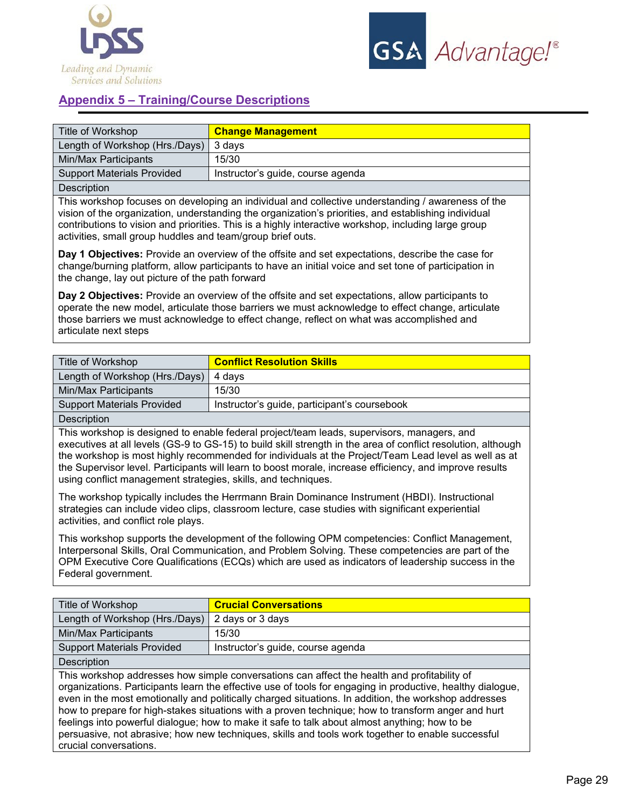



# **Appendix 5 – Training/Course Descriptions**

| Title of Workshop                 | <b>Change Management</b>          |
|-----------------------------------|-----------------------------------|
| Length of Workshop (Hrs./Days)    | 3 days                            |
| Min/Max Participants              | 15/30                             |
| <b>Support Materials Provided</b> | Instructor's guide, course agenda |
| Description                       |                                   |

This workshop focuses on developing an individual and collective understanding / awareness of the vision of the organization, understanding the organization's priorities, and establishing individual contributions to vision and priorities. This is a highly interactive workshop, including large group activities, small group huddles and team/group brief outs.

**Day 1 Objectives:** Provide an overview of the offsite and set expectations, describe the case for change/burning platform, allow participants to have an initial voice and set tone of participation in the change, lay out picture of the path forward

**Day 2 Objectives:** Provide an overview of the offsite and set expectations, allow participants to operate the new model, articulate those barriers we must acknowledge to effect change, articulate those barriers we must acknowledge to effect change, reflect on what was accomplished and articulate next steps

| Title of Workshop                 | <b>Conflict Resolution Skills</b>            |
|-----------------------------------|----------------------------------------------|
| Length of Workshop (Hrs./Days)    | 4 davs                                       |
| Min/Max Participants              | 15/30                                        |
| <b>Support Materials Provided</b> | Instructor's guide, participant's coursebook |
| <b>Deceription</b>                |                                              |

Description

This workshop is designed to enable federal project/team leads, supervisors, managers, and executives at all levels (GS-9 to GS-15) to build skill strength in the area of conflict resolution, although the workshop is most highly recommended for individuals at the Project/Team Lead level as well as at the Supervisor level. Participants will learn to boost morale, increase efficiency, and improve results using conflict management strategies, skills, and techniques.

The workshop typically includes the Herrmann Brain Dominance Instrument (HBDI). Instructional strategies can include video clips, classroom lecture, case studies with significant experiential activities, and conflict role plays.

This workshop supports the development of the following OPM competencies: Conflict Management, Interpersonal Skills, Oral Communication, and Problem Solving. These competencies are part of the OPM Executive Core Qualifications (ECQs) which are used as indicators of leadership success in the Federal government.

| Title of Workshop                                                                                                                                                                                                                                                                                                                                                                                                                                                                                                                                                                                                             | <b>Crucial Conversations</b>      |
|-------------------------------------------------------------------------------------------------------------------------------------------------------------------------------------------------------------------------------------------------------------------------------------------------------------------------------------------------------------------------------------------------------------------------------------------------------------------------------------------------------------------------------------------------------------------------------------------------------------------------------|-----------------------------------|
| Length of Workshop (Hrs./Days)                                                                                                                                                                                                                                                                                                                                                                                                                                                                                                                                                                                                | 2 days or 3 days                  |
| Min/Max Participants                                                                                                                                                                                                                                                                                                                                                                                                                                                                                                                                                                                                          | 15/30                             |
| <b>Support Materials Provided</b>                                                                                                                                                                                                                                                                                                                                                                                                                                                                                                                                                                                             | Instructor's guide, course agenda |
| <b>Description</b>                                                                                                                                                                                                                                                                                                                                                                                                                                                                                                                                                                                                            |                                   |
| This workshop addresses how simple conversations can affect the health and profitability of<br>organizations. Participants learn the effective use of tools for engaging in productive, healthy dialogue,<br>even in the most emotionally and politically charged situations. In addition, the workshop addresses<br>how to prepare for high-stakes situations with a proven technique; how to transform anger and hurt<br>feelings into powerful dialogue; how to make it safe to talk about almost anything; how to be<br>persuasive, not abrasive; how new techniques, skills and tools work together to enable successful |                                   |

crucial conversations.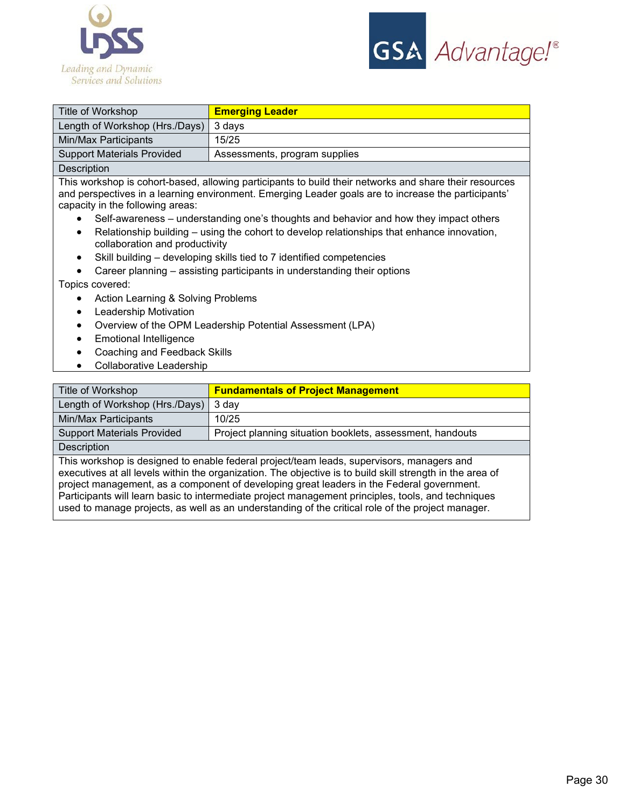



| Title of Workshop                 | <b>Emerging Leader</b>        |
|-----------------------------------|-------------------------------|
| Length of Workshop (Hrs./Days)    | 3 days                        |
| Min/Max Participants              | 15/25                         |
| <b>Support Materials Provided</b> | Assessments, program supplies |
| <b>Description</b>                |                               |

This workshop is cohort-based, allowing participants to build their networks and share their resources and perspectives in a learning environment. Emerging Leader goals are to increase the participants' capacity in the following areas:

- Self-awareness understanding one's thoughts and behavior and how they impact others
- Relationship building using the cohort to develop relationships that enhance innovation, collaboration and productivity
- Skill building developing skills tied to 7 identified competencies
- Career planning assisting participants in understanding their options

#### Topics covered:

- Action Learning & Solving Problems
- Leadership Motivation
- Overview of the OPM Leadership Potential Assessment (LPA)
- Emotional Intelligence
- Coaching and Feedback Skills
- Collaborative Leadership

| Title of Workshop                                                                                                                                                                                      | <b>Fundamentals of Project Management</b>                 |
|--------------------------------------------------------------------------------------------------------------------------------------------------------------------------------------------------------|-----------------------------------------------------------|
| Length of Workshop (Hrs./Days)                                                                                                                                                                         | 3 day                                                     |
| Min/Max Participants                                                                                                                                                                                   | 10/25                                                     |
| <b>Support Materials Provided</b>                                                                                                                                                                      | Project planning situation booklets, assessment, handouts |
| Description                                                                                                                                                                                            |                                                           |
| This workshop is designed to enable federal project/team leads, supervisors, managers and<br>executives at all levels within the organization. The objective is to build skill strength in the area of |                                                           |

project management, as a component of developing great leaders in the Federal government. Participants will learn basic to intermediate project management principles, tools, and techniques used to manage projects, as well as an understanding of the critical role of the project manager.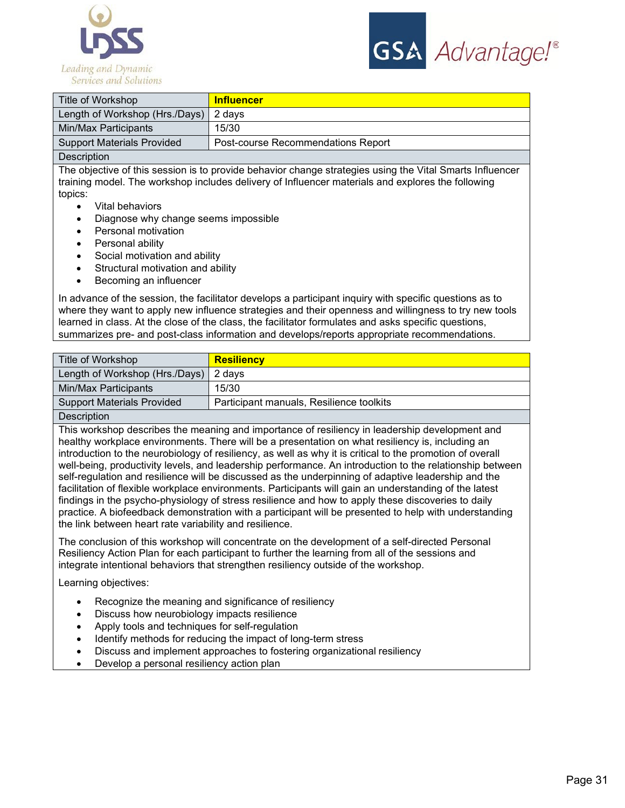



| Title of Workshop                 | <b>Influencer</b>                  |
|-----------------------------------|------------------------------------|
| Length of Workshop (Hrs./Days)    | 2 days                             |
| Min/Max Participants              | 15/30                              |
| <b>Support Materials Provided</b> | Post-course Recommendations Report |
| Description                       |                                    |

The objective of this session is to provide behavior change strategies using the Vital Smarts Influencer training model. The workshop includes delivery of Influencer materials and explores the following topics:

- Vital behaviors
- Diagnose why change seems impossible
- Personal motivation
- Personal ability
- Social motivation and ability
- Structural motivation and ability
- Becoming an influencer

In advance of the session, the facilitator develops a participant inquiry with specific questions as to where they want to apply new influence strategies and their openness and willingness to try new tools learned in class. At the close of the class, the facilitator formulates and asks specific questions, summarizes pre- and post-class information and develops/reports appropriate recommendations.

| Title of Workshop                                                               | <b>Resiliency</b>                        |
|---------------------------------------------------------------------------------|------------------------------------------|
| Length of Workshop (Hrs./Days)                                                  | 2 davs                                   |
| Min/Max Participants                                                            | 15/30                                    |
| <b>Support Materials Provided</b>                                               | Participant manuals, Resilience toolkits |
| The contract of the contract of the contract of the contract of the contract of |                                          |

#### **Description**

This workshop describes the meaning and importance of resiliency in leadership development and healthy workplace environments. There will be a presentation on what resiliency is, including an introduction to the neurobiology of resiliency, as well as why it is critical to the promotion of overall well-being, productivity levels, and leadership performance. An introduction to the relationship between self-regulation and resilience will be discussed as the underpinning of adaptive leadership and the facilitation of flexible workplace environments. Participants will gain an understanding of the latest findings in the psycho-physiology of stress resilience and how to apply these discoveries to daily practice. A biofeedback demonstration with a participant will be presented to help with understanding the link between heart rate variability and resilience.

The conclusion of this workshop will concentrate on the development of a self-directed Personal Resiliency Action Plan for each participant to further the learning from all of the sessions and integrate intentional behaviors that strengthen resiliency outside of the workshop.

Learning objectives:

- Recognize the meaning and significance of resiliency
- Discuss how neurobiology impacts resilience
- Apply tools and techniques for self-regulation
- Identify methods for reducing the impact of long-term stress
- Discuss and implement approaches to fostering organizational resiliency
- Develop a personal resiliency action plan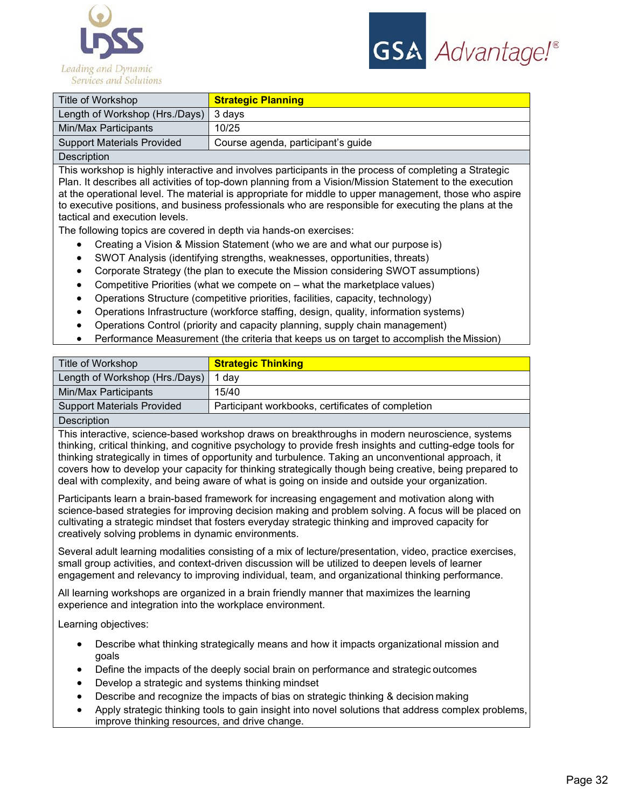



| Title of Workshop                     | <b>Strategic Planning</b>          |
|---------------------------------------|------------------------------------|
| Length of Workshop (Hrs./Days) 3 days |                                    |
| Min/Max Participants                  | 10/25                              |
| <b>Support Materials Provided</b>     | Course agenda, participant's guide |
| $\cdots$<br>$\sim$                    |                                    |

**Description** 

This workshop is highly interactive and involves participants in the process of completing a Strategic Plan. It describes all activities of top-down planning from a Vision/Mission Statement to the execution at the operational level. The material is appropriate for middle to upper management, those who aspire to executive positions, and business professionals who are responsible for executing the plans at the tactical and execution levels.

The following topics are covered in depth via hands-on exercises:

- Creating a Vision & Mission Statement (who we are and what our purpose is)
- SWOT Analysis (identifying strengths, weaknesses, opportunities, threats)
- Corporate Strategy (the plan to execute the Mission considering SWOT assumptions)
- Competitive Priorities (what we compete on what the marketplace values)
- Operations Structure (competitive priorities, facilities, capacity, technology)
- Operations Infrastructure (workforce staffing, design, quality, information systems)
- Operations Control (priority and capacity planning, supply chain management)
- Performance Measurement (the criteria that keeps us on target to accomplish the Mission)

| Title of Workshop                 | <b>Strategic Thinking</b>                         |
|-----------------------------------|---------------------------------------------------|
| Length of Workshop (Hrs./Days)    | dav                                               |
| Min/Max Participants              | 15/40                                             |
| <b>Support Materials Provided</b> | Participant workbooks, certificates of completion |
| $\blacksquare$                    |                                                   |

#### **Description**

This interactive, science-based workshop draws on breakthroughs in modern neuroscience, systems thinking, critical thinking, and cognitive psychology to provide fresh insights and cutting-edge tools for thinking strategically in times of opportunity and turbulence. Taking an unconventional approach, it covers how to develop your capacity for thinking strategically though being creative, being prepared to deal with complexity, and being aware of what is going on inside and outside your organization.

Participants learn a brain-based framework for increasing engagement and motivation along with science-based strategies for improving decision making and problem solving. A focus will be placed on cultivating a strategic mindset that fosters everyday strategic thinking and improved capacity for creatively solving problems in dynamic environments.

Several adult learning modalities consisting of a mix of lecture/presentation, video, practice exercises, small group activities, and context-driven discussion will be utilized to deepen levels of learner engagement and relevancy to improving individual, team, and organizational thinking performance.

All learning workshops are organized in a brain friendly manner that maximizes the learning experience and integration into the workplace environment.

Learning objectives:

- Describe what thinking strategically means and how it impacts organizational mission and goals
- Define the impacts of the deeply social brain on performance and strategic outcomes
- Develop a strategic and systems thinking mindset
- Describe and recognize the impacts of bias on strategic thinking & decision making
- Apply strategic thinking tools to gain insight into novel solutions that address complex problems, improve thinking resources, and drive change.